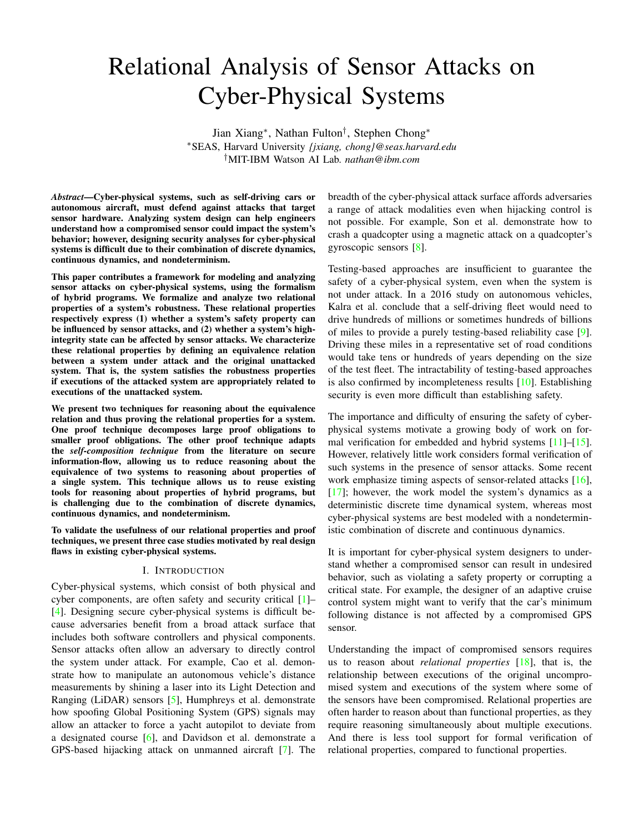# Relational Analysis of Sensor Attacks on Cyber-Physical Systems

Jian Xiang<sup>∗</sup> , Nathan Fulton† , Stephen Chong<sup>∗</sup> <sup>∗</sup>SEAS, Harvard University *{jxiang, chong}@seas.harvard.edu* †MIT-IBM Watson AI Lab. *nathan@ibm.com*

*Abstract*—Cyber-physical systems, such as self-driving cars or autonomous aircraft, must defend against attacks that target sensor hardware. Analyzing system design can help engineers understand how a compromised sensor could impact the system's behavior; however, designing security analyses for cyber-physical systems is difficult due to their combination of discrete dynamics, continuous dynamics, and nondeterminism.

This paper contributes a framework for modeling and analyzing sensor attacks on cyber-physical systems, using the formalism of hybrid programs. We formalize and analyze two relational properties of a system's robustness. These relational properties respectively express (1) whether a system's safety property can be influenced by sensor attacks, and (2) whether a system's highintegrity state can be affected by sensor attacks. We characterize these relational properties by defining an equivalence relation between a system under attack and the original unattacked system. That is, the system satisfies the robustness properties if executions of the attacked system are appropriately related to executions of the unattacked system.

We present two techniques for reasoning about the equivalence relation and thus proving the relational properties for a system. One proof technique decomposes large proof obligations to smaller proof obligations. The other proof technique adapts the *self-composition technique* from the literature on secure information-flow, allowing us to reduce reasoning about the equivalence of two systems to reasoning about properties of a single system. This technique allows us to reuse existing tools for reasoning about properties of hybrid programs, but is challenging due to the combination of discrete dynamics, continuous dynamics, and nondeterminism.

To validate the usefulness of our relational properties and proof techniques, we present three case studies motivated by real design flaws in existing cyber-physical systems.

#### I. INTRODUCTION

Cyber-physical systems, which consist of both physical and cyber components, are often safety and security critical [\[1\]](#page-12-0)– [\[4\]](#page-13-0). Designing secure cyber-physical systems is difficult because adversaries benefit from a broad attack surface that includes both software controllers and physical components. Sensor attacks often allow an adversary to directly control the system under attack. For example, Cao et al. demonstrate how to manipulate an autonomous vehicle's distance measurements by shining a laser into its Light Detection and Ranging (LiDAR) sensors [\[5\]](#page-13-1), Humphreys et al. demonstrate how spoofing Global Positioning System (GPS) signals may allow an attacker to force a yacht autopilot to deviate from a designated course [\[6\]](#page-13-2), and Davidson et al. demonstrate a GPS-based hijacking attack on unmanned aircraft [\[7\]](#page-13-3). The

breadth of the cyber-physical attack surface affords adversaries a range of attack modalities even when hijacking control is not possible. For example, Son et al. demonstrate how to crash a quadcopter using a magnetic attack on a quadcopter's gyroscopic sensors [\[8\]](#page-13-4).

Testing-based approaches are insufficient to guarantee the safety of a cyber-physical system, even when the system is not under attack. In a 2016 study on autonomous vehicles, Kalra et al. conclude that a self-driving fleet would need to drive hundreds of millions or sometimes hundreds of billions of miles to provide a purely testing-based reliability case [\[9\]](#page-13-5). Driving these miles in a representative set of road conditions would take tens or hundreds of years depending on the size of the test fleet. The intractability of testing-based approaches is also confirmed by incompleteness results [\[10\]](#page-13-6). Establishing security is even more difficult than establishing safety.

The importance and difficulty of ensuring the safety of cyberphysical systems motivate a growing body of work on for-mal verification for embedded and hybrid systems [\[11\]](#page-13-7)–[\[15\]](#page-13-8). However, relatively little work considers formal verification of such systems in the presence of sensor attacks. Some recent work emphasize timing aspects of sensor-related attacks [\[16\]](#page-13-9),  $[17]$ ; however, the work model the system's dynamics as a deterministic discrete time dynamical system, whereas most cyber-physical systems are best modeled with a nondeterministic combination of discrete and continuous dynamics.

It is important for cyber-physical system designers to understand whether a compromised sensor can result in undesired behavior, such as violating a safety property or corrupting a critical state. For example, the designer of an adaptive cruise control system might want to verify that the car's minimum following distance is not affected by a compromised GPS sensor.

Understanding the impact of compromised sensors requires us to reason about *relational properties* [\[18\]](#page-13-11), that is, the relationship between executions of the original uncompromised system and executions of the system where some of the sensors have been compromised. Relational properties are often harder to reason about than functional properties, as they require reasoning simultaneously about multiple executions. And there is less tool support for formal verification of relational properties, compared to functional properties.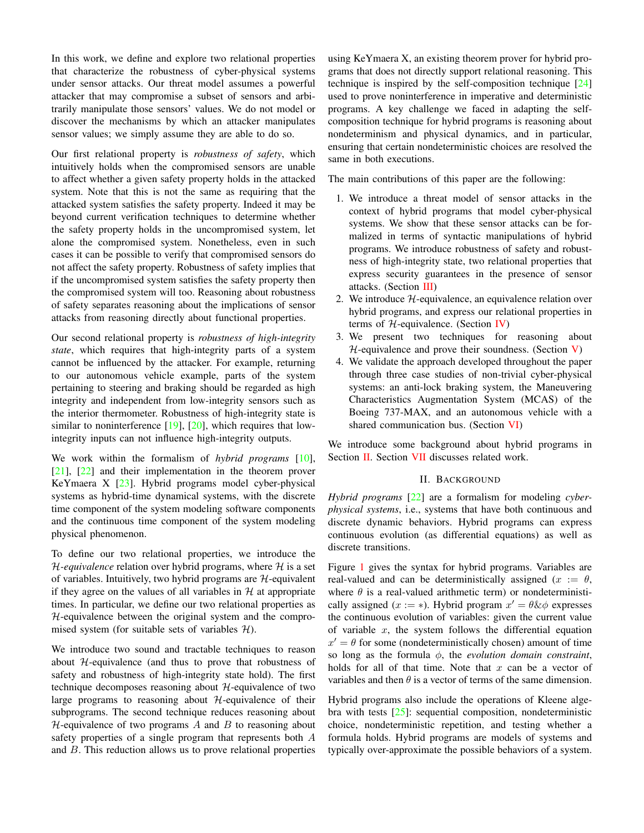In this work, we define and explore two relational properties that characterize the robustness of cyber-physical systems under sensor attacks. Our threat model assumes a powerful attacker that may compromise a subset of sensors and arbitrarily manipulate those sensors' values. We do not model or discover the mechanisms by which an attacker manipulates sensor values; we simply assume they are able to do so.

Our first relational property is *robustness of safety*, which intuitively holds when the compromised sensors are unable to affect whether a given safety property holds in the attacked system. Note that this is not the same as requiring that the attacked system satisfies the safety property. Indeed it may be beyond current verification techniques to determine whether the safety property holds in the uncompromised system, let alone the compromised system. Nonetheless, even in such cases it can be possible to verify that compromised sensors do not affect the safety property. Robustness of safety implies that if the uncompromised system satisfies the safety property then the compromised system will too. Reasoning about robustness of safety separates reasoning about the implications of sensor attacks from reasoning directly about functional properties.

Our second relational property is *robustness of high-integrity state*, which requires that high-integrity parts of a system cannot be influenced by the attacker. For example, returning to our autonomous vehicle example, parts of the system pertaining to steering and braking should be regarded as high integrity and independent from low-integrity sensors such as the interior thermometer. Robustness of high-integrity state is similar to noninterference  $[19]$ ,  $[20]$ , which requires that lowintegrity inputs can not influence high-integrity outputs.

We work within the formalism of *hybrid programs* [\[10\]](#page-13-6), [\[21\]](#page-13-14), [\[22\]](#page-13-15) and their implementation in the theorem prover KeYmaera X [\[23\]](#page-13-16). Hybrid programs model cyber-physical systems as hybrid-time dynamical systems, with the discrete time component of the system modeling software components and the continuous time component of the system modeling physical phenomenon.

To define our two relational properties, we introduce the  $H$ -equivalence relation over hybrid programs, where  $H$  is a set of variables. Intuitively, two hybrid programs are  $H$ -equivalent if they agree on the values of all variables in  $H$  at appropriate times. In particular, we define our two relational properties as  $H$ -equivalence between the original system and the compromised system (for suitable sets of variables  $H$ ).

We introduce two sound and tractable techniques to reason about  $H$ -equivalence (and thus to prove that robustness of safety and robustness of high-integrity state hold). The first technique decomposes reasoning about  $H$ -equivalence of two large programs to reasoning about  $H$ -equivalence of their subprograms. The second technique reduces reasoning about  $H$ -equivalence of two programs  $A$  and  $B$  to reasoning about safety properties of a single program that represents both A and B. This reduction allows us to prove relational properties

using KeYmaera X, an existing theorem prover for hybrid programs that does not directly support relational reasoning. This technique is inspired by the self-composition technique [\[24\]](#page-13-17) used to prove noninterference in imperative and deterministic programs. A key challenge we faced in adapting the selfcomposition technique for hybrid programs is reasoning about nondeterminism and physical dynamics, and in particular, ensuring that certain nondeterministic choices are resolved the same in both executions.

The main contributions of this paper are the following:

- 1. We introduce a threat model of sensor attacks in the context of hybrid programs that model cyber-physical systems. We show that these sensor attacks can be formalized in terms of syntactic manipulations of hybrid programs. We introduce robustness of safety and robustness of high-integrity state, two relational properties that express security guarantees in the presence of sensor attacks. (Section [III\)](#page-3-0)
- 2. We introduce  $H$ -equivalence, an equivalence relation over hybrid programs, and express our relational properties in terms of  $H$ -equivalence. (Section [IV\)](#page-5-0)
- 3. We present two techniques for reasoning about  $H$ -equivalence and prove their soundness. (Section [V\)](#page-6-0)
- 4. We validate the approach developed throughout the paper through three case studies of non-trivial cyber-physical systems: an anti-lock braking system, the Maneuvering Characteristics Augmentation System (MCAS) of the Boeing 737-MAX, and an autonomous vehicle with a shared communication bus. (Section [VI\)](#page-9-0)

<span id="page-1-0"></span>We introduce some background about hybrid programs in Section [II.](#page-1-0) Section [VII](#page-11-0) discusses related work.

## II. BACKGROUND

*Hybrid programs* [\[22\]](#page-13-15) are a formalism for modeling *cyberphysical systems*, i.e., systems that have both continuous and discrete dynamic behaviors. Hybrid programs can express continuous evolution (as differential equations) as well as discrete transitions.

Figure [1](#page-2-0) gives the syntax for hybrid programs. Variables are real-valued and can be deterministically assigned ( $x := \theta$ , where  $\theta$  is a real-valued arithmetic term) or nondeterministically assigned ( $x := *$ ). Hybrid program  $x' = \theta \& \phi$  expresses the continuous evolution of variables: given the current value of variable  $x$ , the system follows the differential equation  $x' = \theta$  for some (nondeterministically chosen) amount of time so long as the formula ϕ, the *evolution domain constraint*, holds for all of that time. Note that  $x$  can be a vector of variables and then  $\theta$  is a vector of terms of the same dimension.

Hybrid programs also include the operations of Kleene algebra with tests  $[25]$ : sequential composition, nondeterministic choice, nondeterministic repetition, and testing whether a formula holds. Hybrid programs are models of systems and typically over-approximate the possible behaviors of a system.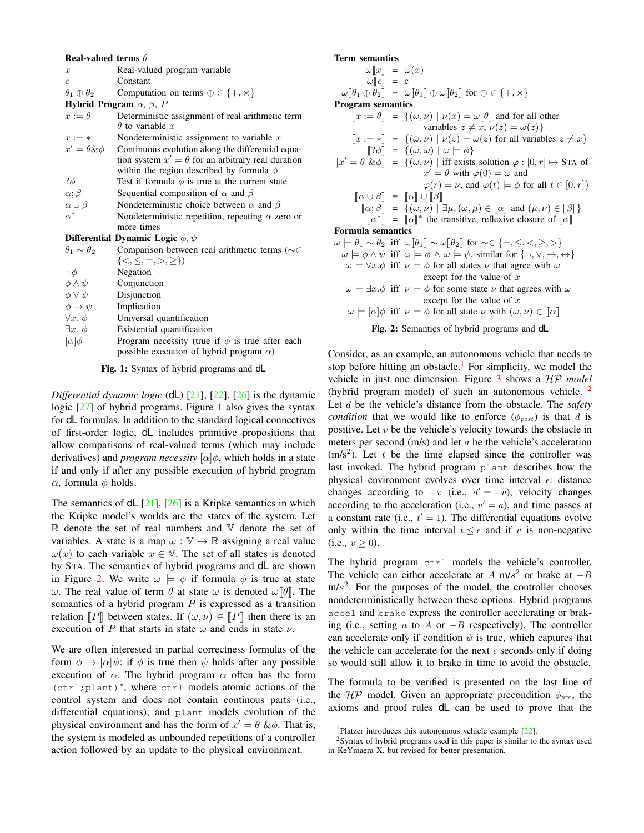#### <span id="page-2-0"></span>Real-valued terms θ

- $x$  Real-valued program variable
- c Constant
- $\theta_1 \oplus \theta_2$  Computation on terms  $\oplus \in \{+, \times\}$

Hybrid Program  $\alpha$ ,  $\beta$ , P

 $x := \theta$  Deterministic assignment of real arithmetic term  $\theta$  to variable x

| $x := *$              | Nondeterministic assignment to variable $x$                                                  |
|-----------------------|----------------------------------------------------------------------------------------------|
| $x' = \theta \& \phi$ | Continuous evolution along the differential equa-                                            |
|                       | tion system $x' = \theta$ for an arbitrary real duration                                     |
|                       | within the region described by formula $\phi$                                                |
| $? \phi$              | Test if formula $\phi$ is true at the current state                                          |
| $\alpha$ ; $\beta$    | Sequential composition of $\alpha$ and $\beta$                                               |
| $\alpha \cup \beta$   | Nondeterministic choice between $\alpha$ and $\beta$                                         |
| $\alpha^*$            | Nondeterministic repetition, repeating $\alpha$ zero or                                      |
|                       | more times                                                                                   |
|                       | Differential Dynamic Logic $\phi, \psi$                                                      |
|                       | $\theta_{\text{tot}}$ , $\theta_{\text{tot}}$ Comparison between real grithmetic terms (e.g. |

| $\theta_1 \sim \theta_2$ | Comparison between real arithmetic terms ( $\sim \in$                                                   |
|--------------------------|---------------------------------------------------------------------------------------------------------|
|                          | ${<,\leq,=,>,\geq>}$                                                                                    |
| $\neg \phi$              | Negation                                                                                                |
| $\phi \wedge \psi$       | Conjunction                                                                                             |
| $\phi \vee \psi$         | Disjunction                                                                                             |
| $\phi \rightarrow \psi$  | Implication                                                                                             |
| $\forall x. \phi$        | Universal quantification                                                                                |
| $\exists x. \phi$        | Existential quantification                                                                              |
| $[\alpha]\phi$           | Program necessity (true if $\phi$ is true after each<br>possible execution of hybrid program $\alpha$ ) |
|                          |                                                                                                         |

Fig. 1: Syntax of hybrid programs and dL

*Differential dynamic logic* (dL) [\[21\]](#page-13-14), [\[22\]](#page-13-15), [\[26\]](#page-13-19) is the dynamic logic [\[27\]](#page-13-20) of hybrid programs. Figure [1](#page-2-0) also gives the syntax for dL formulas. In addition to the standard logical connectives of first-order logic, dL includes primitive propositions that allow comparisons of real-valued terms (which may include derivatives) and *program necessity*  $\alpha$   $\phi$ , which holds in a state if and only if after any possible execution of hybrid program  $\alpha$ , formula  $\phi$  holds.

The semantics of  $dL$  [\[21\]](#page-13-14), [\[26\]](#page-13-19) is a Kripke semantics in which the Kripke model's worlds are the states of the system. Let R denote the set of real numbers and V denote the set of variables. A state is a map  $\omega : \mathbb{V} \mapsto \mathbb{R}$  assigning a real value  $\omega(x)$  to each variable  $x \in \mathbb{V}$ . The set of all states is denoted by STA. The semantics of hybrid programs and dL are shown in Figure [2.](#page-2-1) We write  $\omega \models \phi$  if formula  $\phi$  is true at state ω. The real value of term  $\theta$  at state ω is denoted ω $\theta$ . The semantics of a hybrid program  $P$  is expressed as a transition relation  $\llbracket P \rrbracket$  between states. If  $(\omega, \nu) \in \llbracket P \rrbracket$  then there is an execution of P that starts in state  $\omega$  and ends in state  $\nu$ .

We are often interested in partial correctness formulas of the form  $\phi \to [\alpha]\psi$ : if  $\phi$  is true then  $\psi$  holds after any possible execution of  $\alpha$ . The hybrid program  $\alpha$  often has the form (ctrl;plant)<sup>∗</sup> , where ctrl models atomic actions of the control system and does not contain continous parts (i.e., differential equations); and plant models evolution of the physical environment and has the form of  $x' = \theta \& \phi$ . That is, the system is modeled as unbounded repetitions of a controller action followed by an update to the physical environment.

## <span id="page-2-1"></span>Term semantics  $\omega\llbracket x \rrbracket = \omega(x)$  $\omega[[c]] = c$  $\omega[\![\theta_1 \oplus \theta_2]\!] = \omega[\![\theta_1]\!] \oplus \omega[\![\theta_2]\!]$  for  $\oplus \in \{+, \times\}$ Program semantics  $\llbracket x := \theta \rrbracket = \{(\omega, \nu) \mid \nu(x) = \omega \llbracket \theta \rrbracket \text{ and for all other }$ variables  $z \neq x, \nu(z) = \omega(z)$  $\llbracket x := * \rrbracket = \{ (\omega, \nu) \mid \nu(z) = \omega(z) \text{ for all variables } z \neq x \}$  $[?\phi] = \{(\omega, \omega) | \omega \models \phi\}$  $\llbracket x' = \theta \& \phi \rrbracket = \{(\omega, \nu) \mid \text{iff exists solution } \varphi : [0, r] \mapsto \text{STA of}$  $x' = \theta$  with  $\varphi(0) = \omega$  and  $\varphi(r) = \nu$ , and  $\varphi(t) \models \phi$  for all  $t \in [0, r]$  $\lbrack\!\lbrack \alpha \cup \beta \rbrack\!\rbrack = \lbrack\!\lbrack \alpha \rbrack\!\rbrack \cup \lbrack\!\lbrack \beta \rbrack\!\rbrack$  $[\![\alpha;\beta]\!] = \{(\omega,\nu) \mid \exists \mu, (\omega,\mu) \in [\![\alpha]\!] \text{ and } (\mu,\nu) \in [\![\beta]\!] \}$  $\llbracket \alpha^* \rrbracket = \llbracket \alpha \rrbracket^*$  the transitive, reflexive closure of  $\llbracket \alpha \rrbracket$ Formula semantics  $\omega \models \theta_1 \sim \theta_2$  iff  $\omega[\![\theta_1]\!] \sim \omega[\![\theta_2]\!]$  for ~∈ {=, ≤, <, ≥, >}  $\omega \models \phi \land \psi$  iff  $\omega \models \phi \land \omega \models \psi$ , similar for  $\{\neg, \vee, \rightarrow, \leftrightarrow\}$  $\omega \models \forall x.\phi$  iff  $\nu \models \phi$  for all states  $\nu$  that agree with  $\omega$ except for the value of  $x$

- $\omega \models \exists x.\phi$  iff  $\nu \models \phi$  for some state  $\nu$  that agrees with  $\omega$ except for the value of  $x$
- $\omega \models [\alpha] \phi$  iff  $\nu \models \phi$  for all state  $\nu$  with  $(\omega, \nu) \in [\![\alpha]\!]$ 
	- Fig. 2: Semantics of hybrid programs and dL

Consider, as an example, an autonomous vehicle that needs to stop before hitting an obstacle.<sup>[1](#page-2-2)</sup> For simplicity, we model the vehicle in just one dimension. Figure [3](#page-3-1) shows a HP *model* (hybrid program model) of such an autonomous vehicle. [2](#page-2-3) Let d be the vehicle's distance from the obstacle. The *safety condition* that we would like to enforce  $(\phi_{post})$  is that d is positive. Let  $v$  be the vehicle's velocity towards the obstacle in meters per second  $(m/s)$  and let  $a$  be the vehicle's acceleration  $(m/s<sup>2</sup>)$ . Let t be the time elapsed since the controller was last invoked. The hybrid program plant describes how the physical environment evolves over time interval  $\epsilon$ : distance changes according to  $-v$  (i.e.,  $d' = -v$ ), velocity changes according to the acceleration (i.e.,  $v' = a$ ), and time passes at a constant rate (i.e.,  $t' = 1$ ). The differential equations evolve only within the time interval  $t \leq \epsilon$  and if v is non-negative  $(i.e., v \ge 0).$ 

The hybrid program ctrl models the vehicle's controller. The vehicle can either accelerate at A m/s<sup>2</sup> or brake at  $-B$  $m/s<sup>2</sup>$ . For the purposes of the model, the controller chooses nondeterministically between these options. Hybrid programs accel and brake express the controller accelerating or braking (i.e., setting  $a$  to  $A$  or  $-B$  respectively). The controller can accelerate only if condition  $\psi$  is true, which captures that the vehicle can accelerate for the next  $\epsilon$  seconds only if doing so would still allow it to brake in time to avoid the obstacle.

The formula to be verified is presented on the last line of the  $HP$  model. Given an appropriate precondition  $\phi_{pre}$ , the axioms and proof rules dL can be used to prove that the

<span id="page-2-3"></span><span id="page-2-2"></span><sup>1</sup>Platzer introduces this autonomous vehicle example [\[22\]](#page-13-15).

<sup>2</sup>Syntax of hybrid programs used in this paper is similar to the syntax used in KeYmaera X, but revised for better presentation.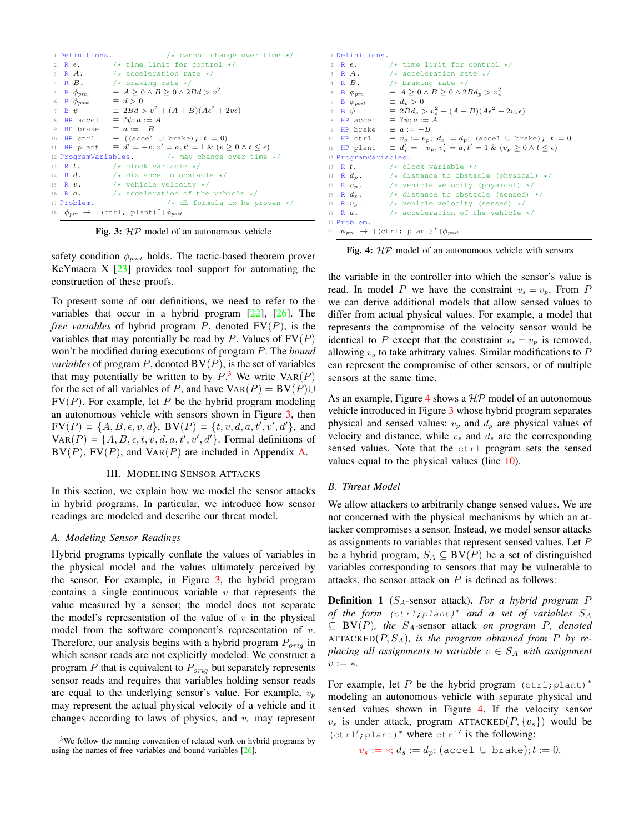<span id="page-3-1"></span>

| 1 Definitions.                       | $/*$ cannot change over time $*/$                                              |
|--------------------------------------|--------------------------------------------------------------------------------|
|                                      | 2 R $\epsilon$ . /* time limit for control */                                  |
|                                      | 3 R $A$ . /* acceleration rate */                                              |
|                                      | 4 R $\overline{B}$ . /* braking rate */                                        |
|                                      | 5 B $\phi_{pre} \equiv A \geq 0 \wedge B \geq 0 \wedge 2Bd > v^2$              |
| 6 B $\phi_{post} \equiv d > 0$       |                                                                                |
|                                      | 7 B $\psi$ = 2Bd > $v^2 + (A + B)(A\epsilon^2 + 2v\epsilon)$                   |
| 8 HP accel $\equiv ?\psi$ ; $a := A$ |                                                                                |
| 9 HP brake $\equiv a := -B$          |                                                                                |
|                                      | 10 HP ctrl $\equiv$ ((accel U brake); $t := 0$ )                               |
|                                      | If HP plant $\equiv d' = -v, v' = a, t' = 1 \& (v \ge 0 \land t \le \epsilon)$ |
|                                      | 12 ProgramVariables. $\frac{1}{x}$ may change over time $\frac{x}{x}$          |
|                                      | 13 R $t$ . $\sqrt{\star}$ clock variable $\star$ /                             |
|                                      | 14 R $d$ . $\rightarrow$ distance to obstacle $\star$ /                        |
|                                      | 15 R $v$ . $/*$ vehicle velocity */                                            |
|                                      | 16 R $a$ . $\rightarrow$ /* acceleration of the vehicle */                     |
| 17 Problem.                          | $/*$ dL formula to be proven $*/$                                              |
|                                      | 18 $\phi_{pre} \rightarrow$ [(ctrl; plant) <sup>*</sup> ] $\phi_{post}$        |

Fig. 3:  $HP$  model of an autonomous vehicle

safety condition  $\phi_{post}$  holds. The tactic-based theorem prover KeYmaera X  $[23]$  provides tool support for automating the construction of these proofs.

To present some of our definitions, we need to refer to the variables that occur in a hybrid program [\[22\]](#page-13-15), [\[26\]](#page-13-19). The *free variables* of hybrid program  $P$ , denoted  $FV(P)$ , is the variables that may potentially be read by P. Values of  $FV(P)$ won't be modified during executions of program P. The *bound variables* of program  $P$ , denoted  $BV(P)$ , is the set of variables that may potentially be written to by  $P^3$  $P^3$ . We write  $VAR(P)$ for the set of all variables of P, and have  $\text{VaR}(P) = \text{BV}(P) \cup$  $FV(P)$ . For example, let P be the hybrid program modeling an autonomous vehicle with sensors shown in Figure [3,](#page-3-1) then  $FV(P) = \{A, B, \epsilon, v, d\}, BV(P) = \{t, v, d, a, t', v', d'\}, and$  $\text{VAR}(P) = \{A, B, \epsilon, t, v, d, a, t', v', d'\}.$  Formal definitions of  $BV(P)$ ,  $FV(P)$ , and  $VAR(P)$  are included in Appendix [A.](#page-14-0)

#### III. MODELING SENSOR ATTACKS

<span id="page-3-0"></span>In this section, we explain how we model the sensor attacks in hybrid programs. In particular, we introduce how sensor readings are modeled and describe our threat model.

#### *A. Modeling Sensor Readings*

Hybrid programs typically conflate the values of variables in the physical model and the values ultimately perceived by the sensor. For example, in Figure [3,](#page-3-1) the hybrid program contains a single continuous variable  $v$  that represents the value measured by a sensor; the model does not separate the model's representation of the value of  $v$  in the physical model from the software component's representation of  $v$ . Therefore, our analysis begins with a hybrid program  $P_{orig}$  in which sensor reads are not explicitly modeled. We construct a program  $P$  that is equivalent to  $P_{orig}$  but separately represents sensor reads and requires that variables holding sensor reads are equal to the underlying sensor's value. For example,  $v_p$ may represent the actual physical velocity of a vehicle and it changes according to laws of physics, and  $v<sub>s</sub>$  may represent

```
1 Definitions.
 2 R \epsilon. \frac{1}{2} \frac{1}{2} R \frac{1}{2} \frac{1}{2} \frac{1}{2} \frac{1}{2} \frac{1}{2} \frac{1}{2} \frac{1}{2} \frac{1}{2} \frac{1}{2} \frac{1}{2} \frac{1}{2} \frac{1}{2} \frac{1}{2} \frac{1}{2} \frac{1}{2} \frac{1}{2} \frac{1}{2} \frac{1}{2} \frac{1}{2}3 R A. /* acceleration rate */<br>4 R B. /* braking rate */
 4 R B.<br>
5 B \phi_{pre} = A \ge 0 \wedge B \ge 0 \wedge 2B5 B \phi_{pre} \equiv A \geq 0 \wedge B \geq 0 \wedge 2Bd_p > v_p^26 B \phi_{post} \equiv d_p > 07 B \psi \equiv 2Bd_s > v_s^2 + (A+B)(A\epsilon^2 + 2v_s\epsilon)8 HP accel \equiv ?\psi; a := \overset{\circ}{A}9 HP brake \equiv a := -B10 HP ctrl = v_s := v_p; d_s := d_p; (accel ∪ brake); t := 0<br>11 HP plant = d'_p = -v_p, v'_p = a, t' = 1 & (v_p \ge 0 \land t \le \epsilon)11 HP plant
12 ProgramVariables.
13 R t. \frac{1}{14} R d_p. \frac{1}{14} R d_p. \frac{1}{14} alstance to obsta
14 R d_p. /* distance to obstacle (physical) */<br>15 R v_p. /* vehicle velocity (physical) */
15 R v_p. /* vehicle velocity (physical) */<br>16 R d_s. /* distance to obstacle (sensed)
16 R d_s. /* distance to obstacle (sensed) */<br>17 R v_s. /* vehicle velocity (sensed) */
17 R v_s. \rightarrow vehicle velocity (sensed) */<br>18 R a. \rightarrow acceleration of the vehicle
                             /* acceleration of the vehicle */19 Problem.
20 \phi_{pre} → [(ctrl; plant)<sup>*</sup>]\phi_{post}
```
Fig. 4:  $HP$  model of an autonomous vehicle with sensors

the variable in the controller into which the sensor's value is read. In model P we have the constraint  $v_s = v_p$ . From P we can derive additional models that allow sensed values to differ from actual physical values. For example, a model that represents the compromise of the velocity sensor would be identical to P except that the constraint  $v_s = v_p$  is removed, allowing  $v_s$  to take arbitrary values. Similar modifications to  $P$ can represent the compromise of other sensors, or of multiple sensors at the same time.

As an example, Figure [4](#page-3-3) shows a  $HP$  model of an autonomous vehicle introduced in Figure [3](#page-3-1) whose hybrid program separates physical and sensed values:  $v_p$  and  $d_p$  are physical values of velocity and distance, while  $v_s$  and  $d_s$  are the corresponding sensed values. Note that the ctrl program sets the sensed values equal to the physical values (line [10\)](#page-3-4).

## *B. Threat Model*

We allow attackers to arbitrarily change sensed values. We are not concerned with the physical mechanisms by which an attacker compromises a sensor. Instead, we model sensor attacks as assignments to variables that represent sensed values. Let P be a hybrid program,  $S_A \subseteq BV(P)$  be a set of distinguished variables corresponding to sensors that may be vulnerable to attacks, the sensor attack on  $P$  is defined as follows:

Definition 1 (SA-sensor attack). *For a hybrid program* P *of the form* (ctrl;plant)<sup>∗</sup> *and a set of variables* S<sup>A</sup>  $\subseteq$  BV(P), the S<sub>A</sub>-sensor attack *on program* P, denoted ATTACKED $(P, S_A)$ *, is the program obtained from P by replacing all assignments to variable*  $v \in S_A$  *with assignment* v := ∗*.*

For example, let P be the hybrid program  $(\text{ctrl}, \text{plant})^*$ modeling an autonomous vehicle with separate physical and sensed values shown in Figure [4.](#page-3-3) If the velocity sensor  $v_s$  is under attack, program ATTACKED $(P, \{v_s\})$  would be (ctrl′;plant)<sup>∗</sup> where ctrl′ is the following:

$$
v_s := *, d_s := d_p; (\text{accel } \cup \text{ brake}); t := 0.
$$

<span id="page-3-2"></span> $3$ We follow the naming convention of related work on hybrid programs by using the names of free variables and bound variables [\[26\]](#page-13-19).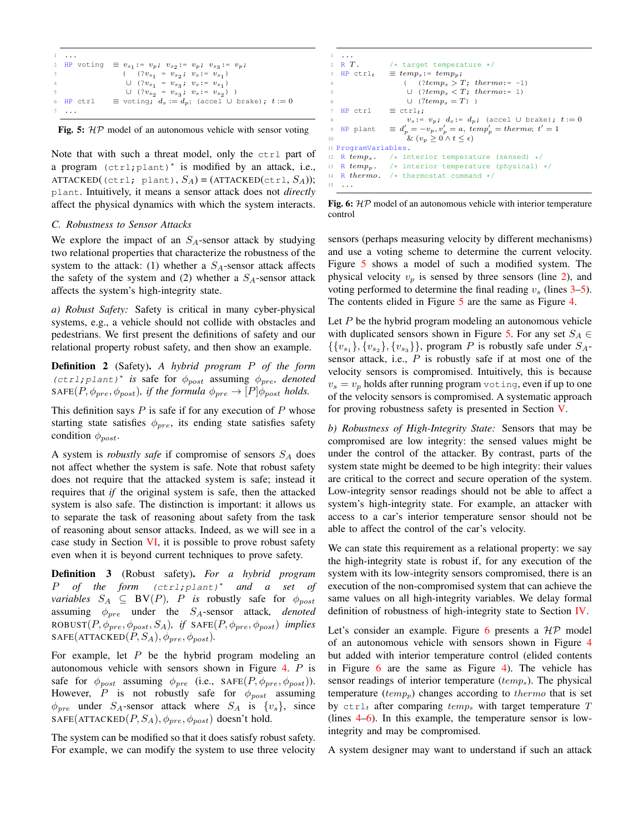```
1 ...
  HP voting
                    := v_p; v_{s_2}:= v_p; v_{s_3}:= v_p;
3 ( (2v_{s_1} = v_{s_2}; v_s := v_{s_1})4 ∪ (?v_{s_1} = v_{s_3}; v_s := v_{s_1})
5 ∪ (?v_{s_2} = v_{s_3}; v_s := v_{s_2}) )
 HP ctrl \equiv voting; d_s := d_p; (accel ∪ brake); t := 07 ...
```


Note that with such a threat model, only the ctrl part of a program (ctrl;plant)<sup>∗</sup> is modified by an attack, i.e., ATTACKED((ctrl; plant),  $S_A$ ) = (ATTACKED(ctrl,  $S_A$ )); plant. Intuitively, it means a sensor attack does not *directly* affect the physical dynamics with which the system interacts.

#### *C. Robustness to Sensor Attacks*

We explore the impact of an  $S_A$ -sensor attack by studying two relational properties that characterize the robustness of the system to the attack: (1) whether a  $S_A$ -sensor attack affects the safety of the system and (2) whether a  $S_A$ -sensor attack affects the system's high-integrity state.

*a) Robust Safety:* Safety is critical in many cyber-physical systems, e.g., a vehicle should not collide with obstacles and pedestrians. We first present the definitions of safety and our relational property robust safety, and then show an example.

Definition 2 (Safety). *A hybrid program* P *of the form* (ctrl;plant)<sup>∗</sup> *is* safe for ϕpost assuming ϕpre*, denoted* SAFE(P,  $\phi_{pre}, \phi_{post}$ )*, if the formula*  $\phi_{pre} \rightarrow [P] \phi_{post}$  *holds.* 

This definition says  $P$  is safe if for any execution of  $P$  whose starting state satisfies  $\phi_{pre}$ , its ending state satisfies safety condition  $\phi_{post}$ .

A system is *robustly safe* if compromise of sensors  $S_A$  does not affect whether the system is safe. Note that robust safety does not require that the attacked system is safe; instead it requires that *if* the original system is safe, then the attacked system is also safe. The distinction is important: it allows us to separate the task of reasoning about safety from the task of reasoning about sensor attacks. Indeed, as we will see in a case study in Section [VI,](#page-9-0) it is possible to prove robust safety even when it is beyond current techniques to prove safety.

Definition 3 (Robust safety). *For a hybrid program* P *of the form* (ctrl;plant)<sup>∗</sup> *and a set of variables*  $S_A \subseteq BV(P)$ , *P is* robustly safe for  $\phi_{post}$ assuming  $\phi_{pre}$  under the  $S_A$ -sensor attack, *denoted* ROBUST $(P, \phi_{pre}, \phi_{post}, S_A)$ , *if* SAFE $(P, \phi_{pre}, \phi_{post})$  *implies*  $SAFE(ATTACKED(P, S_A), \phi_{pre}, \phi_{post}).$ 

For example, let  $P$  be the hybrid program modeling an autonomous vehicle with sensors shown in Figure [4.](#page-3-3) P is safe for  $\phi_{post}$  assuming  $\phi_{pre}$  (i.e., SAFE(P,  $\phi_{pre}, \phi_{post}$ )). However,  $P$  is not robustly safe for  $\phi_{post}$  assuming  $\phi_{pre}$  under  $S_A$ -sensor attack where  $S_A$  is  $\{v_s\}$ , since SAFE(ATTACKED( $P, S_A$ ),  $\phi_{pre}, \phi_{post}$ ) doesn't hold.

The system can be modified so that it does satisfy robust safety. For example, we can modify the system to use three velocity

```
1 ...
2 R T. \frac{1}{2} target temperature */<br>3 HP ctrl+ = temps:= temps:
                       \equiv temp<sub>s</sub>:= temp<sub>p</sub>;
                             ( % \frac{1}{2} + \frac{1}{2}) (?temp_s > T; thermo:= -1)
                              \cup ~(\textit{?temp}_s < T; ~\textit{thermo:} = 1)\cup \hspace{0.1 cm} (?temp_s = T) \hspace{0.1 cm} )HP ctrl \equiv ctrl<sub>t</sub>;
                              v_s: = v_p; d_s: = d_p; (accel ∪ brake); t := 09 HP plant
                             v'_p = -v_p, v'_p = a, \; temp'_p = thermo; \; t' = 110 \& (v_p \geq 0 \wedge t \leq \epsilon)11 ProgramVariables.
12 R temp_s. /* interior temperature (sensed) */<br>13 R temp_p. /* interior temperature (physical)
13 R temp_p. /* interior temperature (physical) */<br>14 R thermo. /* thermostat command */
                       1* thermostat command */15 ...
```
Fig. 6:  $HP$  model of an autonomous vehicle with interior temperature control

sensors (perhaps measuring velocity by different mechanisms) and use a voting scheme to determine the current velocity. Figure [5](#page-4-0) shows a model of such a modified system. The physical velocity  $v_p$  is sensed by three sensors (line [2\)](#page-4-1), and voting performed to determine the final reading  $v_s$  (lines  $3-5$  $3-5$ ). The contents elided in Figure [5](#page-4-0) are the same as Figure [4.](#page-3-3)

Let  $P$  be the hybrid program modeling an autonomous vehicle with duplicated sensors shown in Figure [5.](#page-4-0) For any set  $S_A \in$  $\{\{v_{s_1}\}, \{v_{s_2}\}, \{v_{s_3}\}\}\$ , program P is robustly safe under  $S_A$ sensor attack, i.e.,  $P$  is robustly safe if at most one of the velocity sensors is compromised. Intuitively, this is because  $v_s = v_p$  holds after running program voting, even if up to one of the velocity sensors is compromised. A systematic approach for proving robustness safety is presented in Section [V.](#page-6-0)

*b) Robustness of High-Integrity State:* Sensors that may be compromised are low integrity: the sensed values might be under the control of the attacker. By contrast, parts of the system state might be deemed to be high integrity: their values are critical to the correct and secure operation of the system. Low-integrity sensor readings should not be able to affect a system's high-integrity state. For example, an attacker with access to a car's interior temperature sensor should not be able to affect the control of the car's velocity.

We can state this requirement as a relational property: we say the high-integrity state is robust if, for any execution of the system with its low-integrity sensors compromised, there is an execution of the non-compromised system that can achieve the same values on all high-integrity variables. We delay formal definition of robustness of high-integrity state to Section [IV.](#page-5-0)

Let's consider an example. Figure [6](#page-4-4) presents a  $HP$  model of an autonomous vehicle with sensors shown in Figure [4](#page-3-3) but added with interior temperature control (elided contents in Figure [6](#page-4-4) are the same as Figure [4\)](#page-3-3). The vehicle has sensor readings of interior temperature  $(temp<sub>s</sub>)$ . The physical temperature  $temp_p$ ) changes according to *thermo* that is set by  $ctrl_t$  after comparing  $temp_s$  with target temperature T (lines [4](#page-4-5)[–6\)](#page-4-6). In this example, the temperature sensor is lowintegrity and may be compromised.

A system designer may want to understand if such an attack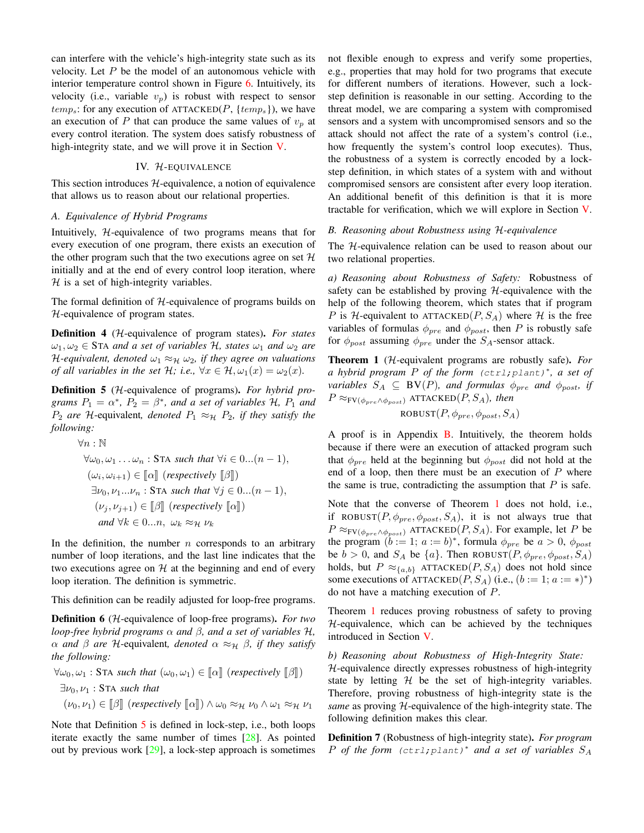can interfere with the vehicle's high-integrity state such as its velocity. Let  $P$  be the model of an autonomous vehicle with interior temperature control shown in Figure [6.](#page-4-4) Intuitively, its velocity (i.e., variable  $v_p$ ) is robust with respect to sensor  $temp_s$ : for any execution of ATTACKED(P, {temps}), we have an execution of P that can produce the same values of  $v_p$  at every control iteration. The system does satisfy robustness of high-integrity state, and we will prove it in Section [V.](#page-6-0)

## IV. H-EQUIVALENCE

<span id="page-5-0"></span>This section introduces  $H$ -equivalence, a notion of equivalence that allows us to reason about our relational properties.

#### *A. Equivalence of Hybrid Programs*

Intuitively, H-equivalence of two programs means that for every execution of one program, there exists an execution of the other program such that the two executions agree on set  $H$ initially and at the end of every control loop iteration, where  $H$  is a set of high-integrity variables.

The formal definition of  $H$ -equivalence of programs builds on H-equivalence of program states.

Definition 4 (H-equivalence of program states). *For states*  $\omega_1, \omega_2 \in$  STA *and a set of variables* H, *states*  $\omega_1$  *and*  $\omega_2$  *are H*-equivalent, denoted  $\omega_1 \approx_{\mathcal{H}} \omega_2$ , if they agree on valuations *of all variables in the set*  $H$ *; i.e.,*  $\forall x \in \mathcal{H}, \omega_1(x) = \omega_2(x)$ *.* 

<span id="page-5-1"></span>Definition 5 (H-equivalence of programs). *For hybrid programs*  $P_1 = \alpha^*$ ,  $P_2 = \beta^*$ , and a set of variables H,  $P_1$  and  $P_2$  *are*  $H$ -equivalent, *denoted*  $P_1 \approx_H P_2$ *, if they satisfy the following:*

$$
\forall n : \mathbb{N}
$$
  
\n
$$
\forall \omega_0, \omega_1 \dots \omega_n : \text{STA such that } \forall i \in 0 \dots (n-1),
$$
  
\n
$$
(\omega_i, \omega_{i+1}) \in [\![\alpha]\!]
$$
 (respectively  $[\![\beta]\!]$ )  
\n
$$
\exists \nu_0, \nu_1 \dots \nu_n : \text{STA such that } \forall j \in 0 \dots (n-1),
$$
  
\n
$$
(\nu_j, \nu_{j+1}) \in [\![\beta]\!]
$$
 (respectively  $[\![\alpha]\!]$ )  
\nand  $\forall k \in 0 \dots n, \omega_k \approx_{\mathcal{H}} \nu_k$ 

In the definition, the number  $n$  corresponds to an arbitrary number of loop iterations, and the last line indicates that the two executions agree on  $H$  at the beginning and end of every loop iteration. The definition is symmetric.

This definition can be readily adjusted for loop-free programs.

Definition 6 (H-equivalence of loop-free programs). *For two loop-free hybrid programs* α *and* β*, and a set of variables* H*,*  $\alpha$  *and*  $\beta$  *are* H-equivalent, *denoted*  $\alpha \approx_H \beta$ *, if they satisfy the following:*

$$
\forall \omega_0, \omega_1 : \text{STA such that } (\omega_0, \omega_1) \in [\![\alpha]\!]
$$
 (respectively  $[\![\beta]\!]$ )  

$$
\exists \nu_0, \nu_1 : \text{STA such that}
$$
  

$$
(\nu_0, \nu_1) \in [\![\beta]\!]
$$
 (respectively  $[\![\alpha]\!]$ )  $\land \omega_0 \approx_{\mathcal{H}} \nu_0 \land \omega_1 \approx_{\mathcal{H}} \nu_1$ 

Note that Definition [5](#page-5-1) is defined in lock-step, i.e., both loops iterate exactly the same number of times [\[28\]](#page-13-21). As pointed out by previous work [\[29\]](#page-13-22), a lock-step approach is sometimes not flexible enough to express and verify some properties, e.g., properties that may hold for two programs that execute for different numbers of iterations. However, such a lockstep definition is reasonable in our setting. According to the threat model, we are comparing a system with compromised sensors and a system with uncompromised sensors and so the attack should not affect the rate of a system's control (i.e., how frequently the system's control loop executes). Thus, the robustness of a system is correctly encoded by a lockstep definition, in which states of a system with and without compromised sensors are consistent after every loop iteration. An additional benefit of this definition is that it is more tractable for verification, which we will explore in Section [V.](#page-6-0)

#### *B. Reasoning about Robustness using* H*-equivalence*

The H-equivalence relation can be used to reason about our two relational properties.

*a) Reasoning about Robustness of Safety:* Robustness of safety can be established by proving  $H$ -equivalence with the help of the following theorem, which states that if program P is H-equivalent to ATTACKED(P,  $S_A$ ) where H is the free variables of formulas  $\phi_{pre}$  and  $\phi_{post}$ , then P is robustly safe for  $\phi_{post}$  assuming  $\phi_{pre}$  under the  $S_A$ -sensor attack.

<span id="page-5-2"></span>Theorem 1 (H-equivalent programs are robustly safe). *For a hybrid program* P *of the form* (ctrl;plant)<sup>∗</sup> *, a set of variables*  $S_A \subseteq BV(P)$ *, and formulas*  $\phi_{pre}$  *and*  $\phi_{post}$  *if*  $P \approx_{\text{FV}(\phi_{pre} \land \phi_{post})}$  ATTACKED $(P, S_A)$ *, then* 

$$
ROBUST(P, \phi_{pre}, \phi_{post}, S_A)
$$

A proof is in Appendix [B.](#page-14-1) Intuitively, the theorem holds because if there were an execution of attacked program such that  $\phi_{pre}$  held at the beginning but  $\phi_{post}$  did not hold at the end of a loop, then there must be an execution of  $P$  where the same is true, contradicting the assumption that  $P$  is safe.

Note that the converse of Theorem [1](#page-5-2) does not hold, i.e., if ROBUST $(P, \phi_{pre}, \phi_{post}, S_A)$ , it is not always true that  $P \approx_{\mathrm{FV}(\phi_{pre} \land \phi_{post})}$  ATTACKED $(P, S_A)$ . For example, let P be the program  $(b := 1; a := b)^*$ , formula  $\phi_{pre}$  be  $a > 0$ ,  $\phi_{post}$ be  $b > 0$ , and  $S_A$  be  $\{a\}$ . Then ROBUST $(P, \phi_{pre}, \phi_{post}, S_A)$ holds, but  $P \approx_{\{a,b\}}$  ATTACKED $(P, S_A)$  does not hold since some executions of ATTACKED $(P, S_A)$  (i.e.,  $(b := 1; a := *)^*$ ) do not have a matching execution of P.

Theorem [1](#page-5-2) reduces proving robustness of safety to proving  $H$ -equivalence, which can be achieved by the techniques introduced in Section [V.](#page-6-0)

*b) Reasoning about Robustness of High-Integrity State:*

 $H$ -equivalence directly expresses robustness of high-integrity state by letting  $H$  be the set of high-integrity variables. Therefore, proving robustness of high-integrity state is the *same* as proving H-equivalence of the high-integrity state. The following definition makes this clear.

Definition 7 (Robustness of high-integrity state). *For program* P *of the form* (ctrl;plant)<sup>∗</sup> *and a set of variables* S<sup>A</sup>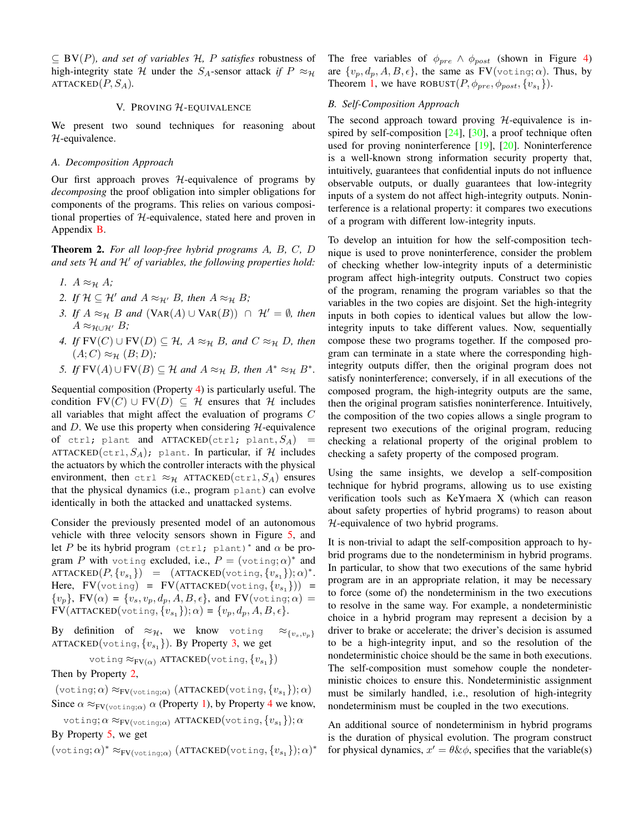$\subseteq$  BV(P)*, and set of variables* H, P *satisfies* robustness of high-integrity state H under the  $S_A$ -sensor attack *if*  $P \approx_H$ ATTACKED $(P, S_A)$ .

#### V. PROVING H-EQUIVALENCE

<span id="page-6-0"></span>We present two sound techniques for reasoning about H-equivalence.

#### *A. Decomposition Approach*

Our first approach proves  $H$ -equivalence of programs by *decomposing* the proof obligation into simpler obligations for components of the programs. This relies on various compositional properties of H-equivalence, stated here and proven in Appendix [B.](#page-14-1)

<span id="page-6-6"></span>Theorem 2. *For all loop-free hybrid programs* A*,* B*,* C*,* D *and sets* H *and* H′ *of variables, the following properties hold:*

- <span id="page-6-4"></span><span id="page-6-3"></span>*1.*  $A \approx_{\mathcal{H}} A$ ;
- <span id="page-6-2"></span>*2. If*  $H \subseteq H'$  *and*  $A \approx_{H'} B$ *, then*  $A \approx_H B$ *;*
- *3. If*  $A \approx_{\mathcal{H}} B$  *and*  $(\text{VAR}(A) \cup \text{VAR}(B)) \cap \mathcal{H}' = \emptyset$ *, then*  $A \approx_{\mathcal{H} \cup \mathcal{H}'} B$ ;
- <span id="page-6-1"></span>*4. If*  $FV(C) ∪ FV(D) ⊆ H$ *,*  $A ≈ H B$ *, and*  $C ≈ H D$ *, then*  $(A; C) \approx_{\mathcal{H}} (B; D)$ ;
- <span id="page-6-5"></span>*5. If*  $FV(A) \cup FV(B) \subseteq H$  *and*  $A \approx_H B$ *, then*  $A^* \approx_H B^*$ *.*

Sequential composition (Property [4\)](#page-6-1) is particularly useful. The condition  $FV(C) \cup FV(D) \subseteq \mathcal{H}$  ensures that H includes all variables that might affect the evaluation of programs C and D. We use this property when considering  $H$ -equivalence of ctrl; plant and ATTACKED(ctrl; plant,  $S_A$ ) = ATTACKED(ctrl,  $S_A$ ); plant. In particular, if H includes the actuators by which the controller interacts with the physical environment, then ctrl  $\approx_{\mathcal{H}}$  ATTACKED(ctrl,  $S_A$ ) ensures that the physical dynamics (i.e., program plant) can evolve identically in both the attacked and unattacked systems.

Consider the previously presented model of an autonomous vehicle with three velocity sensors shown in Figure [5,](#page-4-0) and let P be its hybrid program (ctrl; plant)\* and  $\alpha$  be program P with voting excluded, i.e.,  $P = (\text{voting}; \alpha)^*$  and  $\text{ATTACKED}(P, \{v_{s_1}\}) = (\text{ATTACKED}(\text{voting}, \{v_{s_1}\}); \alpha)^*.$ Here,  $FV(voting) = FV(ATTACKED(voting, \{v_{s_1}\})) =$  $\{v_p\}$ ,  $FV(\alpha) = \{v_s, v_p, d_p, A, B, \epsilon\}$ , and  $FV(\text{voting}; \alpha) =$  $\text{FV}(\text{ATTACKED}(\text{voting}, \{v_{s_1}\}); \alpha) = \{v_p, d_p, A, B, \epsilon\}.$ 

By definition of  $\approx_{\mathcal{H}}$ , we know voting  $\approx_{\{v_s,v_p\}}$ ATTACKED(voting,  $\{v_{s_1}\}\)$ . By Property [3,](#page-6-2) we get

voting  $\approx_{\text{FV}(\alpha)}$  ATTACKED(voting,  $\{v_{s_1}\}\$ )

Then by Property [2,](#page-6-3)

 $(\text{voting}; \alpha) \approx_{\text{FV}(\text{voting};\alpha)} (\text{ATTACKED}(\text{voting}, \{v_{s_1}\}); \alpha)$ 

Since  $\alpha \approx_{\text{FV}(voting;\alpha)} \alpha$  (Property [1\)](#page-6-4), by Property [4](#page-6-1) we know,

voting; $\alpha \approx_{\mathrm{FV}(\mathrm{voting};\alpha)}$  ATTACKED $(\mathrm{voting},\{v_{s_1}\});\alpha$ By Property [5,](#page-6-5) we get

 $(\text{voting}; \alpha)^* \approx_{\text{FV}(\text{voting}; \alpha)} (\text{ATTACKED}(\text{voting}, \{v_{s_1}\}); \alpha)^*$ 

The free variables of  $\phi_{pre} \wedge \phi_{post}$  (shown in Figure [4\)](#page-3-3) are  $\{v_n, d_n, A, B, \epsilon\}$ , the same as  $FV(\text{voting}; \alpha)$ . Thus, by Theorem [1,](#page-5-2) we have ROBUST $(P, \phi_{pre}, \phi_{post}, \{v_{s_1}\}).$ 

## *B. Self-Composition Approach*

The second approach toward proving  $H$ -equivalence is inspired by self-composition  $[24]$ ,  $[30]$ , a proof technique often used for proving noninterference [\[19\]](#page-13-12), [\[20\]](#page-13-13). Noninterference is a well-known strong information security property that, intuitively, guarantees that confidential inputs do not influence observable outputs, or dually guarantees that low-integrity inputs of a system do not affect high-integrity outputs. Noninterference is a relational property: it compares two executions of a program with different low-integrity inputs.

To develop an intuition for how the self-composition technique is used to prove noninterference, consider the problem of checking whether low-integrity inputs of a deterministic program affect high-integrity outputs. Construct two copies of the program, renaming the program variables so that the variables in the two copies are disjoint. Set the high-integrity inputs in both copies to identical values but allow the lowintegrity inputs to take different values. Now, sequentially compose these two programs together. If the composed program can terminate in a state where the corresponding highintegrity outputs differ, then the original program does not satisfy noninterference; conversely, if in all executions of the composed program, the high-integrity outputs are the same, then the original program satisfies noninterference. Intuitively, the composition of the two copies allows a single program to represent two executions of the original program, reducing checking a relational property of the original problem to checking a safety property of the composed program.

Using the same insights, we develop a self-composition technique for hybrid programs, allowing us to use existing verification tools such as KeYmaera X (which can reason about safety properties of hybrid programs) to reason about H-equivalence of two hybrid programs.

It is non-trivial to adapt the self-composition approach to hybrid programs due to the nondeterminism in hybrid programs. In particular, to show that two executions of the same hybrid program are in an appropriate relation, it may be necessary to force (some of) the nondeterminism in the two executions to resolve in the same way. For example, a nondeterministic choice in a hybrid program may represent a decision by a driver to brake or accelerate; the driver's decision is assumed to be a high-integrity input, and so the resolution of the nondeterministic choice should be the same in both executions. The self-composition must somehow couple the nondeterministic choices to ensure this. Nondeterministic assignment must be similarly handled, i.e., resolution of high-integrity nondeterminism must be coupled in the two executions.

An additional source of nondeterminism in hybrid programs is the duration of physical evolution. The program construct for physical dynamics,  $x' = \theta \& \phi$ , specifies that the variable(s)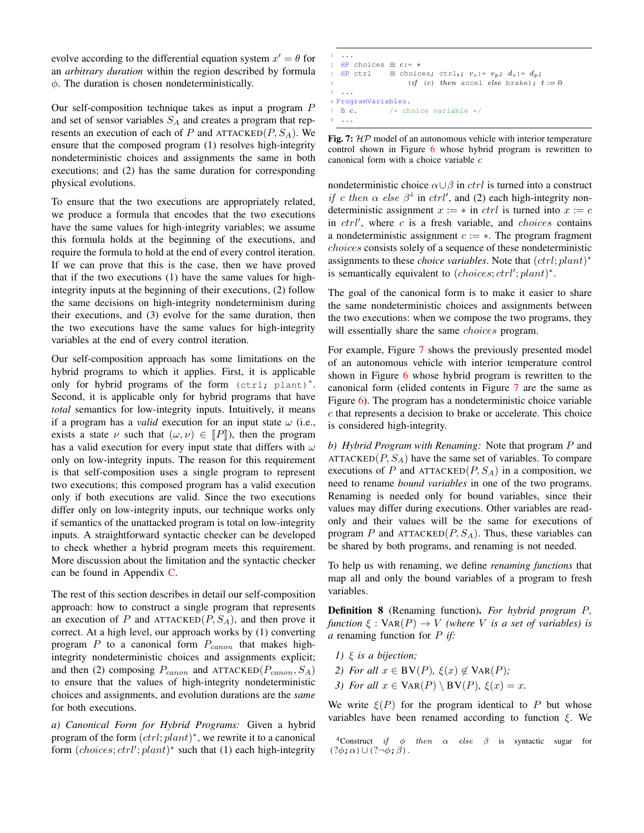evolve according to the differential equation system  $x' = \theta$  for an *arbitrary duration* within the region described by formula  $\phi$ . The duration is chosen nondeterministically.

Our self-composition technique takes as input a program P and set of sensor variables  $S_A$  and creates a program that represents an execution of each of P and  $ATTACKED(P, S_A)$ . We ensure that the composed program (1) resolves high-integrity nondeterministic choices and assignments the same in both executions; and (2) has the same duration for corresponding physical evolutions.

To ensure that the two executions are appropriately related, we produce a formula that encodes that the two executions have the same values for high-integrity variables; we assume this formula holds at the beginning of the executions, and require the formula to hold at the end of every control iteration. If we can prove that this is the case, then we have proved that if the two executions (1) have the same values for highintegrity inputs at the beginning of their executions, (2) follow the same decisions on high-integrity nondeterminism during their executions, and (3) evolve for the same duration, then the two executions have the same values for high-integrity variables at the end of every control iteration.

Our self-composition approach has some limitations on the hybrid programs to which it applies. First, it is applicable only for hybrid programs of the form (ctrl; plant)\*. Second, it is applicable only for hybrid programs that have *total* semantics for low-integrity inputs. Intuitively, it means if a program has a *valid* execution for an input state  $\omega$  (i.e., exists a state  $\nu$  such that  $(\omega, \nu) \in [P]$ , then the program has a valid execution for every input state that differs with  $\omega$ only on low-integrity inputs. The reason for this requirement is that self-composition uses a single program to represent two executions; this composed program has a valid execution only if both executions are valid. Since the two executions differ only on low-integrity inputs, our technique works only if semantics of the unattacked program is total on low-integrity inputs. A straightforward syntactic checker can be developed to check whether a hybrid program meets this requirement. More discussion about the limitation and the syntactic checker can be found in Appendix [C.](#page-15-0)

The rest of this section describes in detail our self-composition approach: how to construct a single program that represents an execution of P and  $ATTACKED(P, S_A)$ , and then prove it correct. At a high level, our approach works by (1) converting program  $P$  to a canonical form  $P_{canon}$  that makes highintegrity nondeterministic choices and assignments explicit; and then (2) composing  $P_{canon}$  and ATTACKED( $P_{canon}$ ,  $S_A$ ) to ensure that the values of high-integrity nondeterministic choices and assignments, and evolution durations are the *same* for both executions.

*a) Canonical Form for Hybrid Programs:* Given a hybrid program of the form  $(ctri; plant)^*$ , we rewrite it to a canonical form  $(choices; ctrl'; plant)^*$  such that (1) each high-integrity

```
1 ...
2 HP choices \equiv c:=*3 HP ctrl \equiv choices; ctrl<sub>t</sub>; v_s := v_p; d_s := d_p;
                     (if (c) then accel else brake); t := 05 ...
6 ProgramVariables.
 \overline{B} c. /* choice variable */
8 ...
```
Fig. 7:  $HP$  model of an autonomous vehicle with interior temperature control shown in Figure [6](#page-4-4) whose hybrid program is rewritten to canonical form with a choice variable c

nondeterministic choice  $\alpha \cup \beta$  in *ctrl* is turned into a construct if c then  $\alpha$  else  $\beta^4$  $\beta^4$  in ctrl', and (2) each high-integrity nondeterministic assignment  $x := *$  in *ctrl* is turned into  $x := c$ in  $ctrl'$ , where  $c$  is a fresh variable, and  $choices$  contains a nondeterministic assignment  $c := *$ . The program fragment choices consists solely of a sequence of these nondeterministic assignments to these *choice variables*. Note that  $(ctrl; plant)^*$ is semantically equivalent to  $(choices;ctrl';plant)^*$ .

The goal of the canonical form is to make it easier to share the same nondeterministic choices and assignments between the two executions: when we compose the two programs, they will essentially share the same *choices* program.

For example, Figure [7](#page-7-1) shows the previously presented model of an autonomous vehicle with interior temperature control shown in Figure [6](#page-4-4) whose hybrid program is rewritten to the canonical form (elided contents in Figure [7](#page-7-1) are the same as Figure [6\)](#page-4-4). The program has a nondeterministic choice variable c that represents a decision to brake or accelerate. This choice is considered high-integrity.

*b) Hybrid Program with Renaming:* Note that program P and ATTACKED $(P, S_A)$  have the same set of variables. To compare executions of P and ATTACKED $(P, S_A)$  in a composition, we need to rename *bound variables* in one of the two programs. Renaming is needed only for bound variables, since their values may differ during executions. Other variables are readonly and their values will be the same for executions of program P and ATTACKED $(P, S_A)$ . Thus, these variables can be shared by both programs, and renaming is not needed.

To help us with renaming, we define *renaming functions* that map all and only the bound variables of a program to fresh variables.

Definition 8 (Renaming function). *For hybrid program* P*, function*  $\xi : \text{VAR}(P) \rightarrow V$  *(where V is a set of variables) is a* renaming function for P *if:*

- *1)* ξ *is a bijection;*
- *2) For all*  $x \in BV(P)$ ,  $\xi(x) \notin VaR(P)$ ;
- *3) For all*  $x \in \text{VAR}(P) \setminus \text{BV}(P)$ *,*  $\xi(x) = x$ *.*

We write  $\xi(P)$  for the program identical to P but whose variables have been renamed according to function  $\xi$ . We

<span id="page-7-0"></span><sup>4</sup>Construct if  $\phi$  then  $\alpha$  else  $\beta$  is syntactic sugar for  $(?\phi;\alpha)\cup(?\neg\phi;\beta)$ .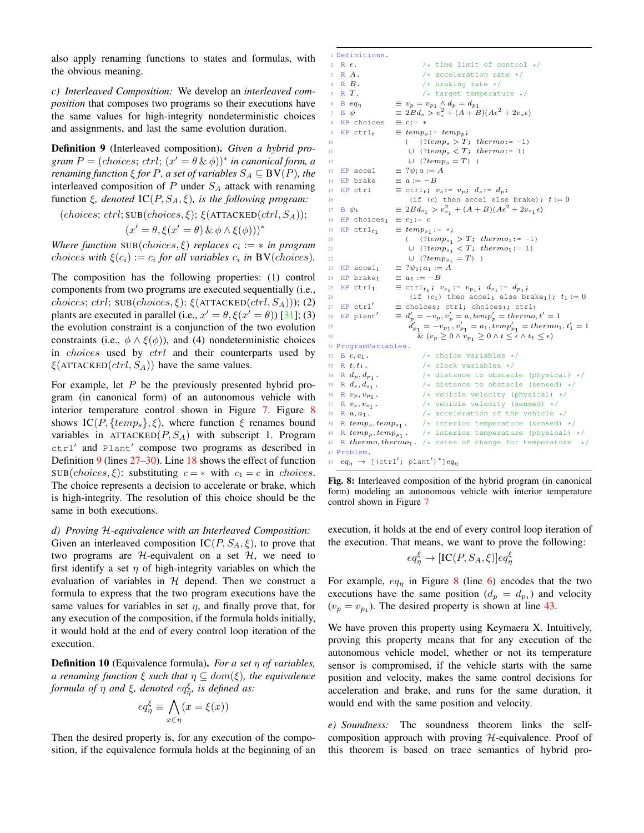also apply renaming functions to states and formulas, with the obvious meaning.

*c) Interleaved Composition:* We develop an *interleaved composition* that composes two programs so their executions have the same values for high-integrity nondeterministic choices and assignments, and last the same evolution duration.

<span id="page-8-1"></span>Definition 9 (Interleaved composition). *Given a hybrid pro-* $\mathit{gram} \ P = \left( \mathit{choices}; \mathit{ctrl}; \left( x' = \theta \ \& \ \phi \right) \right)^* \ \mathit{in} \ \mathit{canonical} \ \mathit{form} \ \mathit{a}$ *renaming function*  $\xi$  *for P, a set of variables*  $S_A \subseteq BV(P)$ *, the* interleaved composition of  $P$  under  $S_A$  attack with renaming function  $\xi$ , denoted  $IC(P, S_A, \xi)$ , is the following program:

```
(choices; ctrl; SUB(choices, \xi); \xi(ATTACKED(ctrl, S_A));
                    (x' = \theta, \xi(x' = \theta) \& \phi \wedge \xi(\phi)))^*
```
*Where function*  $SUB(choices, \xi)$  *replaces*  $c_i := * in program$ *choices with*  $\xi(c_i) := c_i$  *for all variables*  $c_i$  *in* **BV**(*choices*)*.* 

The composition has the following properties: (1) control components from two programs are executed sequentially (i.e., choices; ctrl;  $SUB(choices, \xi)$ ;  $\xi(ATTACKED(ctrl, S_A))$ ; (2) plants are executed in parallel (i.e.,  $x' = \theta$ ,  $\xi(x' = \theta)$ ) [\[31\]](#page-13-24); (3) the evolution constraint is a conjunction of the two evolution constraints (i.e.,  $\phi \wedge \xi(\phi)$ ), and (4) nondeterministic choices in *choices* used by *ctrl* and their counterparts used by  $\xi$ (ATTACKED(*ctrl*,  $S_A$ )) have the same values.

For example, let  $P$  be the previously presented hybrid program (in canonical form) of an autonomous vehicle with interior temperature control shown in Figure [7.](#page-7-1) Figure [8](#page-8-0) shows  $IC(P, \{temp_s\}, \xi)$ , where function  $\xi$  renames bound variables in ATTACKED $(P, S_A)$  with subscript 1. Program ctrl′ and Plant′ compose two programs as described in Definition [9](#page-8-1) (lines [27–](#page-8-2)[30\)](#page-8-3). Line [18](#page-8-4) shows the effect of function  $SUB(choices, \xi)$ : substituting  $c = *$  with  $c_1 = c$  in *choices*. The choice represents a decision to accelerate or brake, which is high-integrity. The resolution of this choice should be the same in both executions.

*d) Proving* H*-equivalence with an Interleaved Composition:* Given an interleaved composition  $IC(P, S_A, \xi)$ , to prove that two programs are  $H$ -equivalent on a set  $H$ , we need to first identify a set  $\eta$  of high-integrity variables on which the evaluation of variables in  $H$  depend. Then we construct a formula to express that the two program executions have the same values for variables in set  $\eta$ , and finally prove that, for any execution of the composition, if the formula holds initially, it would hold at the end of every control loop iteration of the execution.

Definition 10 (Equivalence formula). *For a set* η *of variables, a renaming function*  $\xi$  *such that*  $\eta \subseteq dom(\xi)$ *, the equivalence formula of* η *and* ξ*, denoted* eq<sup>ξ</sup> η *, is defined as:*

$$
eq_{\eta}^{\xi} \equiv \bigwedge_{x \in \eta} (x = \xi(x))
$$

Then the desired property is, for any execution of the composition, if the equivalence formula holds at the beginning of an

```
1 Definitions.
 2 R \epsilon. /* time limit of control */<br>3 R A. /* acceleration rate */
 3 R A.<br>4 R B.<br>4 R B.<br>4 A \star /* braking rate */
                                /* braking rate */
 5 R T.<br>
\begin{array}{rcl}\n5 & R & \rightarrow \ast \text{ target temperature } \ast / \\
6 & B & eqn \\
\end{array} \equiv v_p = v_{p_1} \wedge d_p = d_{p_1}6 B eq<sub>n</sub> \equiv v_p = v_{p_1} \wedge d_p = d_{p_1}<br>
\equiv 2Bd_s > v_s^2 + (A + B)7 B \psi \equiv 2Bd_s > v_s^2 + (A + B)(A\epsilon^2 + 2v_s\epsilon)8 HP choices \equiv c:= *9 HP ctrl_t = temp_s := temp_p;10 ( (?temp_s > T; thermo:=-1)11 ∪ (?temp_s < T; thermo:= 1)
12 ∪ ('temp_s = T))
13 HP accel \equiv ?\psi; a := A14 HP brake \equiv a := -B15 HP ctrl \equiv ctrlt; v_s := v_p; d_s := d_p;
16 (if (c) then accel else brake); t := 0<br>17 B \psi_1 = 2Bd_{s_1} > v_{s_1}^2 + (A+B)(A\epsilon^2 + 2v_{s_1}\epsilon)17 B \psi_1 \equiv 2Bd_{s_1} > v_{s_1}^2 + (A+B)(A\epsilon^2 + 2v_{s_1}\epsilon)18 HP choices<sub>1</sub> \equiv c_1:= c19 HP ctrl_t_1\equiv \text{temp}_{s_1}: \rightarrow20 ( (2temp_{s_1} > T; therm_{01} := -1)<br>21 ( 2temp_{s_2} < T; therm_{01} := 1)21 ∪ (?temp_{s_1} < T; thermo<sub>1</sub>:= 1)<br>22 ∪ (?temp_{s_2} = T)
22 ∪ (?temp_{s_1} = T) )<br>23 HP accel<sub>1</sub> = ? \psi_1; a_1 := A\equiv \;?\psi_1 ; a_1 := A24 HP brake<sub>1</sub> \equiv a_1 := -B25 HP \text{ctrl}_1 = \text{ctrl}_{t_1}; v_{s_1} := v_{p_1}; d_{s_1} := d_{p_1};
26 (if (c<sub>1</sub>) then accel<sub>1</sub> else brake<sub>1</sub>); t_1 := 0<br>
27 HP ctrl' = choices; ctrl; choices<sub>1</sub>; ctrl<sub>1</sub>
                       \equiv choices; ctrl; choices<sub>1</sub>; ctrl<sub>1</sub>
28 HP plant<sup>'</sup>
                            v'_{p} = -v_{p}, v'_{p} = a, temp'_{p} = themo, t' = 129 d
                             y'_{p_1} = -v_{p_1}^{\quad}, v'_{p_1} = a_1, temp'_{p_1} = thermo_1, t'_1 = 130 \& (v_p \geq 0 \wedge v_{p_1} \geq 0 \wedge t \leq \epsilon \wedge t_1 \leq \epsilon)31 ProgramVariables.
32 B c, c_1. \rightarrow choice variables */
33 R t, t_1. \sqrt{\star} clock variables \star/
34 R d_p, d_{p_1}.
                               /* distance to obstacle (physical) */35 R d_s, d_{s_1}.
                               /* distance to obstacle (sensed) */36 \, R \,v_{p}\,,\,v_{p_1} .
                               /* vehicle velocity (physical) */
37 R v_s, v_{s_1}.<br>38 R a, a_1.
                               /* vehicle velocity (sensed) */
                                /* acceleration of the vehicle */
39 \, R \, terms, temp_{s_1} .
                               /* interior temperature (sensed) */
40 R temp_p, temp_{p_1}.
                               . /* interior temperature (physical) */
41 R thermo, thermo<sub>1</sub>. /* rates of change for temperature
42 Problem.
43 eq_{\eta} \rightarrow [(ctrl'; plant')*]eq_{\eta}
```
<span id="page-8-6"></span><span id="page-8-3"></span><span id="page-8-2"></span>Fig. 8: Interleaved composition of the hybrid program (in canonical form) modeling an autonomous vehicle with interior temperature control shown in Figure [7](#page-7-1)

execution, it holds at the end of every control loop iteration of the execution. That means, we want to prove the following:

$$
eq_{\eta}^{\xi} \rightarrow [IC(P, S_A, \xi)] eq_{\eta}^{\xi}
$$

For example,  $eq_n$  in Figure [8](#page-8-0) (line [6\)](#page-8-5) encodes that the two executions have the same position  $(d_p = d_{p_1})$  and velocity  $(v_p = v_{p_1})$ . The desired property is shown at line [43.](#page-8-6)

We have proven this property using Keymaera X. Intuitively, proving this property means that for any execution of the autonomous vehicle model, whether or not its temperature sensor is compromised, if the vehicle starts with the same position and velocity, makes the same control decisions for acceleration and brake, and runs for the same duration, it would end with the same position and velocity.

*e) Soundness:* The soundness theorem links the selfcomposition approach with proving  $H$ -equivalence. Proof of this theorem is based on trace semantics of hybrid pro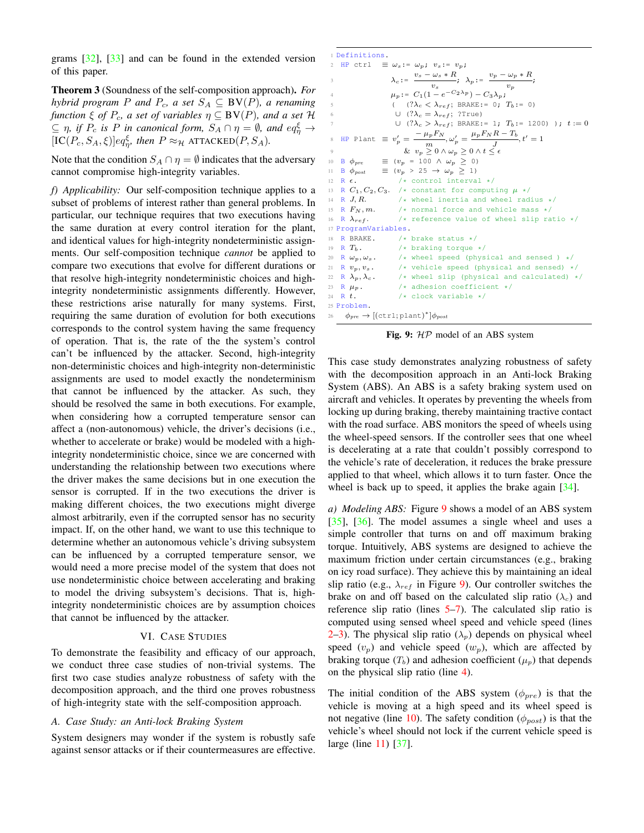grams [\[32\]](#page-13-25), [\[33\]](#page-13-26) and can be found in the extended version of this paper.

Theorem 3 (Soundness of the self-composition approach). *For hybrid program P* and  $P_c$ , a set  $S_A \subseteq BV(P)$ , a renaming *function*  $\xi$  *of*  $P_c$ *, a set of variables*  $\eta \subseteq BV(P)$ *, and a set*  $H$  $\subseteq$   $\eta$ , if  $P_c$  is P in canonical form,  $S_A \cap \eta = \emptyset$ , and  $eq_{\eta}^{\xi} \to$  $[IC(P_c, S_A, \xi)]eq_{\eta}^{\xi}$ , then  $P \approx_{\mathcal{H}} \text{ATTACKED}(P, S_A)$ .

Note that the condition  $S_A \cap \eta = \emptyset$  indicates that the adversary cannot compromise high-integrity variables.

*f) Applicability:* Our self-composition technique applies to a subset of problems of interest rather than general problems. In particular, our technique requires that two executions having the same duration at every control iteration for the plant, and identical values for high-integrity nondeterministic assignments. Our self-composition technique *cannot* be applied to compare two executions that evolve for different durations or that resolve high-integrity nondeterministic choices and highintegrity nondeterministic assignments differently. However, these restrictions arise naturally for many systems. First, requiring the same duration of evolution for both executions corresponds to the control system having the same frequency of operation. That is, the rate of the the system's control can't be influenced by the attacker. Second, high-integrity non-deterministic choices and high-integrity non-deterministic assignments are used to model exactly the nondeterminism that cannot be influenced by the attacker. As such, they should be resolved the same in both executions. For example, when considering how a corrupted temperature sensor can affect a (non-autonomous) vehicle, the driver's decisions (i.e., whether to accelerate or brake) would be modeled with a highintegrity nondeterministic choice, since we are concerned with understanding the relationship between two executions where the driver makes the same decisions but in one execution the sensor is corrupted. If in the two executions the driver is making different choices, the two executions might diverge almost arbitrarily, even if the corrupted sensor has no security impact. If, on the other hand, we want to use this technique to determine whether an autonomous vehicle's driving subsystem can be influenced by a corrupted temperature sensor, we would need a more precise model of the system that does not use nondeterministic choice between accelerating and braking to model the driving subsystem's decisions. That is, highintegrity nondeterministic choices are by assumption choices that cannot be influenced by the attacker.

#### VI. CASE STUDIES

<span id="page-9-0"></span>To demonstrate the feasibility and efficacy of our approach, we conduct three case studies of non-trivial systems. The first two case studies analyze robustness of safety with the decomposition approach, and the third one proves robustness of high-integrity state with the self-composition approach.

## *A. Case Study: an Anti-lock Braking System*

System designers may wonder if the system is robustly safe against sensor attacks or if their countermeasures are effective.

```
1 Definitions.
 2 HP ctrl \equiv \omega_s := \omega_p; v_s := v_p;3 \lambda_c := \frac{v_s - \omega_s * R}{\ }\frac{\omega_s * R}{v_s}; \quad \lambda_p := \frac{v_p - \omega_p * R}{v_p}\frac{p}{v_p};
 4 \mu_p := C_1(1 - e^{-C_2\lambda_p}) - C_3\lambda_p;( \quad (\,?\lambda_c \, < \, \lambda_{ref};\, \, \text{BRAKE:} = \, \, 0 \,; \, \, \, T_b: = \, \, 0)∪ (?λ<sub>c</sub> = λ<sub>ref</sub>; ?True)
                          \cup \left(?\lambda_c>\lambda_{ref};\text{ BRAKE:= 1};\text{ }T_b\text{:= 1200)}\right. \left.\right) ; \text{ }t\text{ := 0}8 HP Plant \equiv v'_p = \frac{-\mu_p F_N}{m}\frac{\mu_p F_N}{m}, \omega'_p = \frac{\mu_p F_N R - T_b}{J}\frac{1}{J}, t' = 19 \& v_p \geq 0 \wedge \omega_p \geq 0 \wedge t \leq \epsilon10 B \phi_{pre} = (v_p = 100 \land \omega_p \ge 0)<br>11 B \phi_{post} = (v_p > 25 \rightarrow \omega_p \ge 1)11 B \phi_{post} \equiv (v_p > 25 \rightarrow \omega_p \ge 1)12 R \epsilon. /* control interval */
13 R C_1, C_2, C_3. /* constant for computing \mu */
14 R J, R. /* wheel inertia and wheel radius */<br>15 R F_N, m. /* normal force and vehicle mass */
                            /* normal force and vehicle mass */16 R \lambda_{ref}. \qquad /* reference value of wheel slip ratio */
17 ProgramVariables.
18 R BRAKE. \frac{1}{19} R T_b. \frac{1}{19} R T_b.
                            /* braking torque */
20 R \omega_p, \omega_s. /* wheel speed (physical and sensed ) */
21 R v_p, v_s. /* vehicle speed (physical and sensed) */<br>22 R \lambda_p, \lambda_c. /* wheel slip (physical and calculated) *
22 R \lambda_p, \lambda_c. /* wheel slip (physical and calculated) */<br>23 R \mu_n. /* adhesion coefficient */
                            /* adhesion coefficient */
24 R t. \sqrt{\star} clock variable \star/
25 Problem.
26 \phi_{pre} \rightarrow [(\text{ctrl}; \text{plant})^*] \phi_{post}
```
Fig. 9: HP model of an ABS system

This case study demonstrates analyzing robustness of safety with the decomposition approach in an Anti-lock Braking System (ABS). An ABS is a safety braking system used on aircraft and vehicles. It operates by preventing the wheels from locking up during braking, thereby maintaining tractive contact with the road surface. ABS monitors the speed of wheels using the wheel-speed sensors. If the controller sees that one wheel is decelerating at a rate that couldn't possibly correspond to the vehicle's rate of deceleration, it reduces the brake pressure applied to that wheel, which allows it to turn faster. Once the wheel is back up to speed, it applies the brake again  $[34]$ .

*a) Modeling ABS:* Figure [9](#page-9-1) shows a model of an ABS system [\[35\]](#page-13-28), [\[36\]](#page-13-29). The model assumes a single wheel and uses a simple controller that turns on and off maximum braking torque. Intuitively, ABS systems are designed to achieve the maximum friction under certain circumstances (e.g., braking on icy road surface). They achieve this by maintaining an ideal slip ratio (e.g.,  $\lambda_{ref}$  in Figure [9\)](#page-9-1). Our controller switches the brake on and off based on the calculated slip ratio  $(\lambda_c)$  and reference slip ratio (lines  $5-7$  $5-7$ ). The calculated slip ratio is computed using sensed wheel speed and vehicle speed (lines [2–](#page-9-4)[3\)](#page-9-5). The physical slip ratio  $(\lambda_p)$  depends on physical wheel speed  $(v_p)$  and vehicle speed  $(w_p)$ , which are affected by braking torque  $(T_b)$  and adhesion coefficient  $(\mu_p)$  that depends on the physical slip ratio (line [4\)](#page-9-6).

The initial condition of the ABS system  $(\phi_{pre})$  is that the vehicle is moving at a high speed and its wheel speed is not negative (line [10\)](#page-9-7). The safety condition ( $\phi_{post}$ ) is that the vehicle's wheel should not lock if the current vehicle speed is large (line [11\)](#page-9-8) [\[37\]](#page-13-30).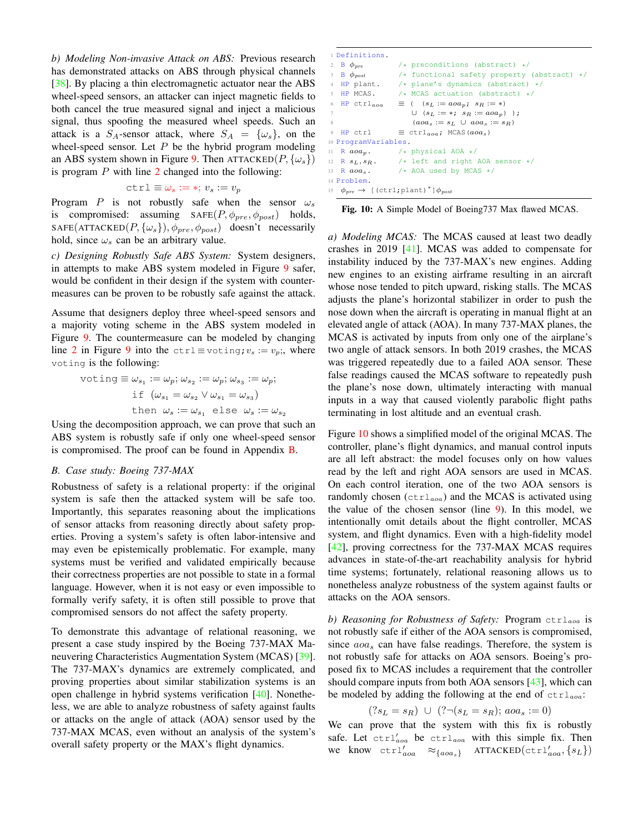*b) Modeling Non-invasive Attack on ABS:* Previous research has demonstrated attacks on ABS through physical channels [\[38\]](#page-13-31). By placing a thin electromagnetic actuator near the ABS wheel-speed sensors, an attacker can inject magnetic fields to both cancel the true measured signal and inject a malicious signal, thus spoofing the measured wheel speeds. Such an attack is a  $S_A$ -sensor attack, where  $S_A = {\omega_s}$ , on the wheel-speed sensor. Let  $P$  be the hybrid program modeling an ABS system shown in Figure [9.](#page-9-1) Then ATTACKED $(P, \{\omega_s\})$ is program  $P$  with line  $2$  changed into the following:

$$
\texttt{ctrl} \equiv \omega_s := *, v_s := v_p
$$

Program P is not robustly safe when the sensor  $\omega_s$ is compromised: assuming  $SAFE(P, \phi_{pre}, \phi_{post})$  holds, SAFE(ATTACKED( $P, \{\omega_s\}, \phi_{pre}, \phi_{post}$ ) doesn't necessarily hold, since  $\omega_s$  can be an arbitrary value.

*c) Designing Robustly Safe ABS System:* System designers, in attempts to make ABS system modeled in Figure [9](#page-9-1) safer, would be confident in their design if the system with countermeasures can be proven to be robustly safe against the attack.

Assume that designers deploy three wheel-speed sensors and a majority voting scheme in the ABS system modeled in Figure [9.](#page-9-1) The countermeasure can be modeled by changing line [2](#page-9-4) in Figure [9](#page-9-1) into the ctrl ≡ voting;  $v_s := v_p$ ;, where voting is the following:

$$
\begin{aligned}\n\text{voting} &\equiv \omega_{s_1} := \omega_p; \omega_{s_2} := \omega_p; \omega_{s_3} := \omega_p; \\
&\text{if } (\omega_{s_1} = \omega_{s_2} \vee \omega_{s_1} = \omega_{s_3}) \\
&\text{then } \omega_s := \omega_{s_1} \text{ else } \omega_s := \omega_{s_2}\n\end{aligned}
$$

Using the decomposition approach, we can prove that such an ABS system is robustly safe if only one wheel-speed sensor is compromised. The proof can be found in Appendix [B.](#page-14-1)

#### *B. Case study: Boeing 737-MAX*

Robustness of safety is a relational property: if the original system is safe then the attacked system will be safe too. Importantly, this separates reasoning about the implications of sensor attacks from reasoning directly about safety properties. Proving a system's safety is often labor-intensive and may even be epistemically problematic. For example, many systems must be verified and validated empirically because their correctness properties are not possible to state in a formal language. However, when it is not easy or even impossible to formally verify safety, it is often still possible to prove that compromised sensors do not affect the safety property.

To demonstrate this advantage of relational reasoning, we present a case study inspired by the Boeing 737-MAX Maneuvering Characteristics Augmentation System (MCAS) [\[39\]](#page-13-32). The 737-MAX's dynamics are extremely complicated, and proving properties about similar stabilization systems is an open challenge in hybrid systems verification [\[40\]](#page-13-33). Nonetheless, we are able to analyze robustness of safety against faults or attacks on the angle of attack (AOA) sensor used by the 737-MAX MCAS, even without an analysis of the system's overall safety property or the MAX's flight dynamics.

```
1 Definitions.
2 B \phi_{pre} /* preconditions (abstract) */<br>3 B \phi_{post} /* functional safety property
3 B \phi_{post} /* functional safety property (abstract) */<br>4 HP plant. /* plane's dynamics (abstract) */
                         /* plane's dynamics (abstract) */
 5 HP MCAS. /* MCAS actuation (abstract) */<br>6 HP ctrl<sub>aoq</sub> \equiv ((s_L := a \circ a_p; s_R := *)6 HP ctrl<sub>aoa</sub> \equiv ( (s_L := aoa_p; s_R := *)7 ∪ (s_L := *; s_R := a \circ a_p) );
8 (aoa_s := s_L \cup aoa_s := s_R)9 HP ctrl \equiv ctrl<sub>aoa</sub>; MCAS(aoa<sub>s</sub>)
10 ProgramVariables.
11 R aoa_p. \qquad /* physical AOA */<br>12 R s_L, s_R. \qquad /* left and right.
12 R s_L, s_R. /* left and right AOA sensor */<br>13 R aoa_s. /* AOA used by MCAS */
                         /* AOA used by MCAS */14 Problem.
15 φ_{pre} → [(ctrl; plant)<sup>*</sup>]φ_{post}
```
Fig. 10: A Simple Model of Boeing737 Max flawed MCAS.

*a) Modeling MCAS:* The MCAS caused at least two deadly crashes in 2019 [\[41\]](#page-13-34). MCAS was added to compensate for instability induced by the 737-MAX's new engines. Adding new engines to an existing airframe resulting in an aircraft whose nose tended to pitch upward, risking stalls. The MCAS adjusts the plane's horizontal stabilizer in order to push the nose down when the aircraft is operating in manual flight at an elevated angle of attack (AOA). In many 737-MAX planes, the MCAS is activated by inputs from only one of the airplane's two angle of attack sensors. In both 2019 crashes, the MCAS was triggered repeatedly due to a failed AOA sensor. These false readings caused the MCAS software to repeatedly push the plane's nose down, ultimately interacting with manual inputs in a way that caused violently parabolic flight paths terminating in lost altitude and an eventual crash.

Figure [10](#page-10-0) shows a simplified model of the original MCAS. The controller, plane's flight dynamics, and manual control inputs are all left abstract: the model focuses only on how values read by the left and right AOA sensors are used in MCAS. On each control iteration, one of the two AOA sensors is randomly chosen ( $ctrl_{aoa}$ ) and the MCAS is activated using the value of the chosen sensor (line [9\)](#page-10-1). In this model, we intentionally omit details about the flight controller, MCAS system, and flight dynamics. Even with a high-fidelity model [\[42\]](#page-13-35), proving correctness for the 737-MAX MCAS requires advances in state-of-the-art reachability analysis for hybrid time systems; fortunately, relational reasoning allows us to nonetheless analyze robustness of the system against faults or attacks on the AOA sensors.

*b) Reasoning for Robustness of Safety:* Program ctrlaoa is not robustly safe if either of the AOA sensors is compromised, since  $a_{0}a_{s}$  can have false readings. Therefore, the system is not robustly safe for attacks on AOA sensors. Boeing's proposed fix to MCAS includes a requirement that the controller should compare inputs from both AOA sensors [\[43\]](#page-13-36), which can be modeled by adding the following at the end of  $\text{ctr}_{{a}oa}$ :

$$
(?s_L = s_R) \cup (? \neg (s_L = s_R); aoa_s := 0)
$$

We can prove that the system with this fix is robustly safe. Let  $\text{ctrl}'_{aoa}$  be  $\text{ctrl}_{aoa}$  with this simple fix. Then we know  $\text{ctrl}'_{aoa}$   $\approx_{\{aoa_s\}}$  ATTACKED( $\text{ctrl}'_{aoa}, \{s_L\}$ )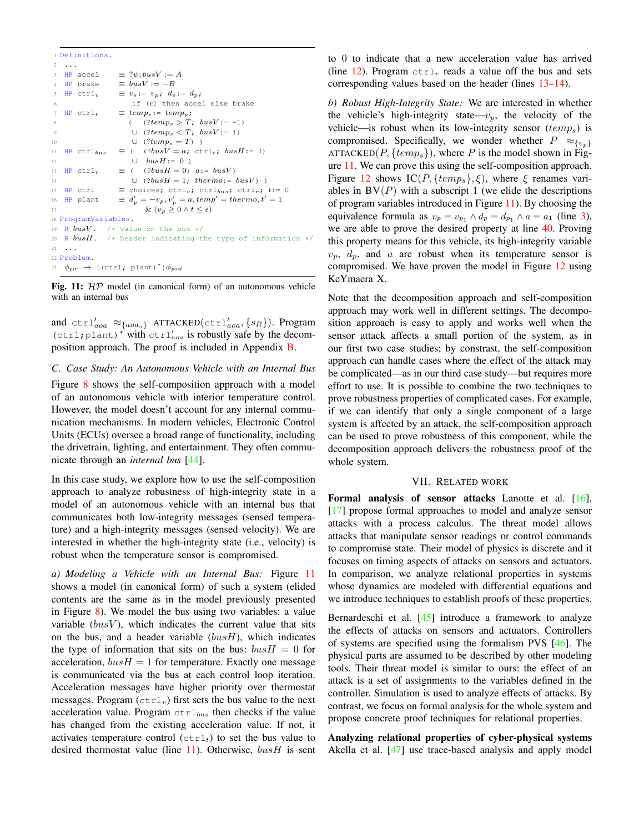```
1 Definitions.
2 ...
3 HP accel \equiv ?\psi; busV := A4 HP brake \equiv busV := -B5 HP ctrl<sub>v</sub> \equiv v_s: = v_p; d_s: = d_p;if (c) then accel else brake
7 HP ctrl<sub>t</sub> \equiv temp_s := temp_p;8 ( (?temp_s > T; busV := -1)9 ∪ (?temp_s < T; busV := 1)
10 ∪ (?temp_s = T))
11 HP ctrl_{bus} \equiv ( (?busV = a; ctrl<sub>t</sub>; busH := 1)12 ∪ busH := 0 )
13 HP ctrl<sub>r</sub> \equiv ( (?busH = 0; a:= busV)
14 ∪ (?busH = 1; thermo:= busV) )
15 HP ctrl \equiv choices; ctrl<sub>v</sub>; ctrl<sub>bus</sub>; ctrl<sub>r</sub>; t:= 0
16 HP plant
                    v'_p = -v_p, v'_p = a, temp' = thermo, t' = 117 \& (v_p \geq 0 \land t \leq \epsilon)18 ProgramVariables.
19 R busV. /* value on the bus */
20 R busH. /* header indicating the type of information */
21 \t...22 Problem.
23 \phi_{pre} \rightarrow [(ctrl; plant)*]\phi_{post}
```
<span id="page-11-5"></span>Fig. 11:  $HP$  model (in canonical form) of an autonomous vehicle with an internal bus

and  $\text{ctrl}'_{aoa} \approx_{\{aoa_s\}} \text{ATTACKED}(\text{ctrl}'_{aoa}, \{s_R\})$ . Program (ctrl;plant)<sup>∗</sup> with ctrl′ aoa is robustly safe by the decomposition approach. The proof is included in Appendix [B.](#page-14-1)

#### *C. Case Study: An Autonomous Vehicle with an Internal Bus*

Figure [8](#page-8-0) shows the self-composition approach with a model of an autonomous vehicle with interior temperature control. However, the model doesn't account for any internal communication mechanisms. In modern vehicles, Electronic Control Units (ECUs) oversee a broad range of functionality, including the drivetrain, lighting, and entertainment. They often communicate through an *internal bus* [\[44\]](#page-13-37).

In this case study, we explore how to use the self-composition approach to analyze robustness of high-integrity state in a model of an autonomous vehicle with an internal bus that communicates both low-integrity messages (sensed temperature) and a high-integrity messages (sensed velocity). We are interested in whether the high-integrity state (i.e., velocity) is robust when the temperature sensor is compromised.

*a) Modeling a Vehicle with an Internal Bus:* Figure [11](#page-11-1) shows a model (in canonical form) of such a system (elided contents are the same as in the model previously presented in Figure [8\)](#page-8-0). We model the bus using two variables: a value variable  $(busV)$ , which indicates the current value that sits on the bus, and a header variable  $(busH)$ , which indicates the type of information that sits on the bus:  $busH = 0$  for acceleration,  $busH = 1$  for temperature. Exactly one message is communicated via the bus at each control loop iteration. Acceleration messages have higher priority over thermostat messages. Program  $(\text{ctrl}_v)$  first sets the bus value to the next acceleration value. Program  $ctr_{bus}$  then checks if the value has changed from the existing acceleration value. If not, it activates temperature control  $(\text{ctrl}_t)$  to set the bus value to desired thermostat value (line [11\)](#page-11-2). Otherwise,  $busH$  is sent

to 0 to indicate that a new acceleration value has arrived (line [12\)](#page-11-3). Program  $\text{ctrl}_r$  reads a value off the bus and sets corresponding values based on the header (lines [13](#page-11-4)[–14\)](#page-11-5).

*b) Robust High-Integrity State:* We are interested in whether the vehicle's high-integrity state— $v_p$ , the velocity of the vehicle—is robust when its low-integrity sensor  $(temp<sub>s</sub>)$  is compromised. Specifically, we wonder whether  $P \approx_{\{v_p\}}$ ATTACKED( $P$ , {temp<sub>s</sub>}), where P is the model shown in Figure [11.](#page-11-1) We can prove this using the self-composition approach. Figure [12](#page-12-1) shows  $IC(P, {temp_s}, \xi)$ , where  $\xi$  renames variables in  $BV(P)$  with a subscript 1 (we elide the descriptions of program variables introduced in Figure [11\)](#page-11-1). By choosing the equivalence formula as  $v_p = v_{p_1} \wedge d_p = d_{p_1} \wedge a = a_1$  (line [3\)](#page-12-2), we are able to prove the desired property at line [40.](#page-12-3) Proving this property means for this vehicle, its high-integrity variable  $v_p$ ,  $d_p$ , and a are robust when its temperature sensor is compromised. We have proven the model in Figure [12](#page-12-1) using KeYmaera X.

Note that the decomposition approach and self-composition approach may work well in different settings. The decomposition approach is easy to apply and works well when the sensor attack affects a small portion of the system, as in our first two case studies; by constrast, the self-composition approach can handle cases where the effect of the attack may be complicated—as in our third case study—but requires more effort to use. It is possible to combine the two techniques to prove robustness properties of complicated cases. For example, if we can identify that only a single component of a large system is affected by an attack, the self-composition approach can be used to prove robustness of this component, while the decomposition approach delivers the robustness proof of the whole system.

## VII. RELATED WORK

<span id="page-11-0"></span>Formal analysis of sensor attacks Lanotte et al. [\[16\]](#page-13-9), [\[17\]](#page-13-10) propose formal approaches to model and analyze sensor attacks with a process calculus. The threat model allows attacks that manipulate sensor readings or control commands to compromise state. Their model of physics is discrete and it focuses on timing aspects of attacks on sensors and actuators. In comparison, we analyze relational properties in systems whose dynamics are modeled with differential equations and we introduce techniques to establish proofs of these properties.

Bernardeschi et al. [\[45\]](#page-13-38) introduce a framework to analyze the effects of attacks on sensors and actuators. Controllers of systems are specified using the formalism PVS [\[46\]](#page-13-39). The physical parts are assumed to be described by other modeling tools. Their threat model is similar to ours: the effect of an attack is a set of assignments to the variables defined in the controller. Simulation is used to analyze effects of attacks. By contrast, we focus on formal analysis for the whole system and propose concrete proof techniques for relational properties.

Analyzing relational properties of cyber-physical systems Akella et al. [\[47\]](#page-13-40) use trace-based analysis and apply model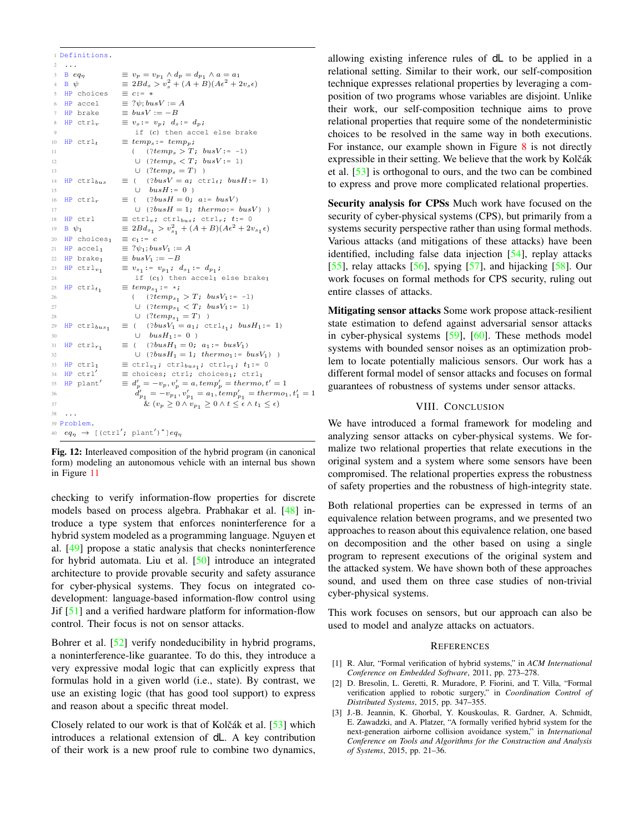<span id="page-12-2"></span><span id="page-12-1"></span>

|                 |                     | 1 Definitions.            |                                                                                                        |
|-----------------|---------------------|---------------------------|--------------------------------------------------------------------------------------------------------|
| 2               |                     |                           |                                                                                                        |
| 3               | $B$ eq <sub>n</sub> |                           | $\equiv v_p = v_{p_1} \wedge d_p = d_{p_1} \wedge a = a_1$                                             |
| $\overline{4}$  | $\mathbf{B} \psi$   |                           | $\equiv 2Bd_s > v_s^2 + (A+B)(A\epsilon^2 + 2v_s\epsilon)$                                             |
| 5               |                     | HP choices                | $\equiv c := *$                                                                                        |
| 6               |                     | HP accel                  | $\equiv ?\psi$ ; bus $V := A$                                                                          |
| $7\phantom{.0}$ |                     | HP brake                  | $\equiv$ busV := $-B$                                                                                  |
| 8               |                     | $HP$ ctrl <sub>v</sub>    | $\equiv v_s := v_p; d_s := d_p;$                                                                       |
| 9               |                     |                           | if (c) then accel else brake                                                                           |
| 10              |                     | HP $ctrl_t$               | $\equiv temp_s := temp_p;$                                                                             |
| 11              |                     |                           | ( $(?temp_s > T; busV := -1)$                                                                          |
| 12              |                     |                           | $\cup$ (?temp <sub>s</sub> $\langle T; \text{busV}:= 1 \rangle$                                        |
| 13              |                     |                           | $\cup$ (?temp <sub>s</sub> = T))                                                                       |
| 14              |                     | $HP$ ctrl <sub>bus</sub>  | $\equiv$ ( (?busV = a; ctrl <sub>t</sub> ; busH:= 1)                                                   |
| 15              |                     |                           | $\cup$ busH:= 0)                                                                                       |
| 16              |                     | HP $ctrl_r$               | $\equiv$ ( $(?busH = 0; a:= busV)$                                                                     |
| 17              |                     |                           | $\cup$ (?busH = 1; thermo:= busV))                                                                     |
| 18              |                     | HP ctrl                   | $\equiv$ ctrl <sub>v</sub> ; ctrl <sub>bus</sub> ; ctrl <sub>r</sub> ; t:= 0                           |
| 19              | $B \psi_1$          |                           | $\equiv 2Bd_{s_1} > v_{s_1}^2 + (A+B)(A\epsilon^2 + 2v_{s_1}\epsilon)$                                 |
| 20              |                     | $HP$ choices <sub>1</sub> | $\equiv c_1 := c$                                                                                      |
| 21              |                     | $HP$ accel <sub>1</sub>   | $\equiv ?\psi_1; busV_1 := A$                                                                          |
| 22              |                     | $HP \ brake_1$            | $\equiv busV_1:=-B$                                                                                    |
| 23              |                     | HP $ctrl_{v_1}$           | $\equiv v_{s_1} := v_{p_1}; d_{s_1} := d_{p_1};$                                                       |
| 24              |                     |                           | if $(c_1)$ then accel <sub>1</sub> else brake <sub>1</sub>                                             |
| 25              |                     | HP $ctrl_t_1$             | $\equiv temp_{s_1}:$ $\rightarrow$ ;                                                                   |
| 26              |                     |                           | ( $\langle \text{?}temp_{s_1} > T; \text{ bus}V_1 := -1 \rangle$                                       |
| 27              |                     |                           | $\cup$ (? $temp_{s_1} < T$ ; $busV_1 := 1$ )                                                           |
| 28              |                     |                           | $\cup \ \ (?temp_{s_1} = T) \ \ )$                                                                     |
| 29              |                     | $HP$ ctrl $_{bus_1}$      | $\equiv$ ( (?busV <sub>1</sub> = a <sub>1</sub> ; ctrl <sub>t<sub>1</sub>; busH<sub>1</sub>:= 1)</sub> |
| 30              |                     |                           | $\cup$ busH <sub>1</sub> := 0)                                                                         |
| 31              |                     | HP $ctrl_{r_1}$           | $\equiv$ ( $(?busH_1 = 0; a_1 := busV_1)$                                                              |
| 32              |                     |                           | $\cup$ (?busH <sub>1</sub> = 1; thermo <sub>1</sub> := busV <sub>1</sub> ))                            |
| 33              |                     | $HP$ ctrl <sub>1</sub>    | $\equiv$ ctrl <sub>v1</sub> ; ctrl <sub>bus1</sub> ; ctrl <sub>r1</sub> ; t <sub>1</sub> := 0          |
| 34              |                     | $HP$ $ctrl'$              | $\equiv$ choices; ctrl; choices <sub>1</sub> ; ctrl <sub>1</sub>                                       |
| 35              |                     | HP plant'                 | $\equiv d'_{p} = -v_{p}, v'_{p} = a, temp'_{p} = themo, t' = 1$                                        |
| 36              |                     |                           | $d'_{p_1} = -v_{p_1}, v'_{p_1} = a_1, temp'_{p_1} = thermo_1, t'_1 = 1$                                |
| 37              |                     |                           | $\overline{\&} (v_p \geq 0 \wedge v_{p_1} \geq 0 \wedge t \leq \epsilon \wedge t_1 \leq \epsilon)$     |
| 38              |                     |                           |                                                                                                        |
|                 |                     | 39 Problem.               |                                                                                                        |
|                 |                     |                           | 40 $eq_\eta$ $\rightarrow$ [(ctrl'; plant')*] $eq_\eta$                                                |
|                 |                     |                           |                                                                                                        |

<span id="page-12-3"></span>Fig. 12: Interleaved composition of the hybrid program (in canonical form) modeling an autonomous vehicle with an internal bus shown in Figure [11](#page-11-1)

checking to verify information-flow properties for discrete models based on process algebra. Prabhakar et al. [\[48\]](#page-13-41) introduce a type system that enforces noninterference for a hybrid system modeled as a programming language. Nguyen et al. [\[49\]](#page-13-42) propose a static analysis that checks noninterference for hybrid automata. Liu et al. [\[50\]](#page-13-43) introduce an integrated architecture to provide provable security and safety assurance for cyber-physical systems. They focus on integrated codevelopment: language-based information-flow control using Jif [\[51\]](#page-13-44) and a verified hardware platform for information-flow control. Their focus is not on sensor attacks.

Bohrer et al. [\[52\]](#page-13-45) verify nondeducibility in hybrid programs, a noninterference-like guarantee. To do this, they introduce a very expressive modal logic that can explicitly express that formulas hold in a given world (i.e., state). By contrast, we use an existing logic (that has good tool support) to express and reason about a specific threat model.

Closely related to our work is that of Kolčák et al. [[53\]](#page-14-2) which introduces a relational extension of dL. A key contribution of their work is a new proof rule to combine two dynamics,

allowing existing inference rules of dL to be applied in a relational setting. Similar to their work, our self-composition technique expresses relational properties by leveraging a composition of two programs whose variables are disjoint. Unlike their work, our self-composition technique aims to prove relational properties that require some of the nondeterministic choices to be resolved in the same way in both executions. For instance, our example shown in Figure [8](#page-8-0) is not directly expressible in their setting. We believe that the work by Kolčák et al. [\[53\]](#page-14-2) is orthogonal to ours, and the two can be combined to express and prove more complicated relational properties.

Security analysis for CPSs Much work have focused on the security of cyber-physical systems (CPS), but primarily from a systems security perspective rather than using formal methods. Various attacks (and mitigations of these attacks) have been identified, including false data injection [\[54\]](#page-14-3), replay attacks [\[55\]](#page-14-4), relay attacks [\[56\]](#page-14-5), spying [\[57\]](#page-14-6), and hijacking [\[58\]](#page-14-7). Our work focuses on formal methods for CPS security, ruling out entire classes of attacks.

Mitigating sensor attacks Some work propose attack-resilient state estimation to defend against adversarial sensor attacks in cyber-physical systems [\[59\]](#page-14-8), [\[60\]](#page-14-9). These methods model systems with bounded sensor noises as an optimization problem to locate potentially malicious sensors. Our work has a different formal model of sensor attacks and focuses on formal guarantees of robustness of systems under sensor attacks.

#### VIII. CONCLUSION

We have introduced a formal framework for modeling and analyzing sensor attacks on cyber-physical systems. We formalize two relational properties that relate executions in the original system and a system where some sensors have been compromised. The relational properties express the robustness of safety properties and the robustness of high-integrity state.

Both relational properties can be expressed in terms of an equivalence relation between programs, and we presented two approaches to reason about this equivalence relation, one based on decomposition and the other based on using a single program to represent executions of the original system and the attacked system. We have shown both of these approaches sound, and used them on three case studies of non-trivial cyber-physical systems.

This work focuses on sensors, but our approach can also be used to model and analyze attacks on actuators.

#### **REFERENCES**

- <span id="page-12-0"></span>[1] R. Alur, "Formal verification of hybrid systems," in *ACM International Conference on Embedded Software*, 2011, pp. 273–278.
- [2] D. Bresolin, L. Geretti, R. Muradore, P. Fiorini, and T. Villa, "Formal verification applied to robotic surgery," in *Coordination Control of Distributed Systems*, 2015, pp. 347–355.
- [3] J.-B. Jeannin, K. Ghorbal, Y. Kouskoulas, R. Gardner, A. Schmidt, E. Zawadzki, and A. Platzer, "A formally verified hybrid system for the next-generation airborne collision avoidance system," in *International Conference on Tools and Algorithms for the Construction and Analysis of Systems*, 2015, pp. 21–36.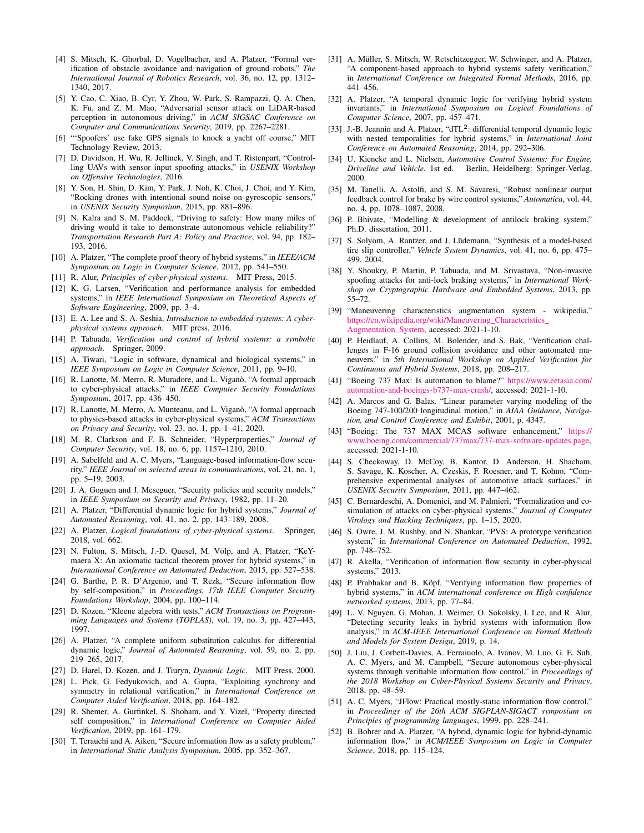- <span id="page-13-0"></span>[4] S. Mitsch, K. Ghorbal, D. Vogelbacher, and A. Platzer, "Formal verification of obstacle avoidance and navigation of ground robots," *The International Journal of Robotics Research*, vol. 36, no. 12, pp. 1312– 1340, 2017.
- <span id="page-13-1"></span>[5] Y. Cao, C. Xiao, B. Cyr, Y. Zhou, W. Park, S. Rampazzi, Q. A. Chen, K. Fu, and Z. M. Mao, "Adversarial sensor attack on LiDAR-based perception in autonomous driving," in *ACM SIGSAC Conference on Computer and Communications Security*, 2019, pp. 2267–2281.
- <span id="page-13-2"></span>[6] "'Spoofers' use fake GPS signals to knock a yacht off course," MIT Technology Review, 2013.
- <span id="page-13-3"></span>[7] D. Davidson, H. Wu, R. Jellinek, V. Singh, and T. Ristenpart, "Controlling UAVs with sensor input spoofing attacks," in *USENIX Workshop on Offensive Technologies*, 2016.
- <span id="page-13-4"></span>[8] Y. Son, H. Shin, D. Kim, Y. Park, J. Noh, K. Choi, J. Choi, and Y. Kim, "Rocking drones with intentional sound noise on gyroscopic sensors," in *USENIX Security Symposium*, 2015, pp. 881–896.
- <span id="page-13-5"></span>[9] N. Kalra and S. M. Paddock, "Driving to safety: How many miles of driving would it take to demonstrate autonomous vehicle reliability?" *Transportation Research Part A: Policy and Practice*, vol. 94, pp. 182– 193, 2016.
- <span id="page-13-6"></span>[10] A. Platzer, "The complete proof theory of hybrid systems," in *IEEE/ACM Symposium on Logic in Computer Science*, 2012, pp. 541–550.
- <span id="page-13-7"></span>[11] R. Alur, *Principles of cyber-physical systems*. MIT Press, 2015.
- [12] K. G. Larsen, "Verification and performance analysis for embedded systems," in *IEEE International Symposium on Theoretical Aspects of Software Engineering*, 2009, pp. 3–4.
- [13] E. A. Lee and S. A. Seshia, *Introduction to embedded systems: A cyberphysical systems approach*. MIT press, 2016.
- [14] P. Tabuada, *Verification and control of hybrid systems: a symbolic approach*. Springer, 2009.
- <span id="page-13-8"></span>[15] A. Tiwari, "Logic in software, dynamical and biological systems," in *IEEE Symposium on Logic in Computer Science*, 2011, pp. 9–10.
- <span id="page-13-9"></span>[16] R. Lanotte, M. Merro, R. Muradore, and L. Viganò, "A formal approach to cyber-physical attacks," in *IEEE Computer Security Foundations Symposium*, 2017, pp. 436–450.
- <span id="page-13-10"></span>[17] R. Lanotte, M. Merro, A. Munteanu, and L. Viganò, "A formal approach to physics-based attacks in cyber-physical systems," *ACM Transactions on Privacy and Security*, vol. 23, no. 1, pp. 1–41, 2020.
- <span id="page-13-11"></span>[18] M. R. Clarkson and F. B. Schneider, "Hyperproperties," *Journal of Computer Security*, vol. 18, no. 6, pp. 1157–1210, 2010.
- <span id="page-13-12"></span>[19] A. Sabelfeld and A. C. Myers, "Language-based information-flow security," *IEEE Journal on selected areas in communications*, vol. 21, no. 1, pp. 5–19, 2003.
- <span id="page-13-13"></span>[20] J. A. Goguen and J. Meseguer, "Security policies and security models," in *IEEE Symposium on Security and Privacy*, 1982, pp. 11–20.
- <span id="page-13-14"></span>[21] A. Platzer, "Differential dynamic logic for hybrid systems," *Journal of Automated Reasoning*, vol. 41, no. 2, pp. 143–189, 2008.
- <span id="page-13-15"></span>[22] A. Platzer, *Logical foundations of cyber-physical systems*. Springer, 2018, vol. 662.
- <span id="page-13-16"></span>[23] N. Fulton, S. Mitsch, J.-D. Quesel, M. Völp, and A. Platzer, "KeYmaera X: An axiomatic tactical theorem prover for hybrid systems," in *International Conference on Automated Deduction*, 2015, pp. 527–538.
- <span id="page-13-17"></span>[24] G. Barthe, P. R. D'Argenio, and T. Rezk, "Secure information flow by self-composition," in *Proceedings. 17th IEEE Computer Security Foundations Workshop*, 2004, pp. 100–114.
- <span id="page-13-18"></span>[25] D. Kozen, "Kleene algebra with tests," *ACM Transactions on Programming Languages and Systems (TOPLAS)*, vol. 19, no. 3, pp. 427–443, 1997.
- <span id="page-13-19"></span>[26] A. Platzer, "A complete uniform substitution calculus for differential dynamic logic," *Journal of Automated Reasoning*, vol. 59, no. 2, pp. 219–265, 2017.
- <span id="page-13-21"></span><span id="page-13-20"></span>[27] D. Harel, D. Kozen, and J. Tiuryn, *Dynamic Logic*. MIT Press, 2000.
- [28] L. Pick, G. Fedyukovich, and A. Gupta, "Exploiting synchrony and symmetry in relational verification," in *International Conference on Computer Aided Verification*, 2018, pp. 164–182.
- <span id="page-13-22"></span>[29] R. Shemer, A. Gurfinkel, S. Shoham, and Y. Vizel, "Property directed self composition," in *International Conference on Computer Aided Verification*, 2019, pp. 161–179.
- <span id="page-13-23"></span>[30] T. Terauchi and A. Aiken, "Secure information flow as a safety problem," in *International Static Analysis Symposium*, 2005, pp. 352–367.
- <span id="page-13-24"></span>[31] A. Müller, S. Mitsch, W. Retschitzegger, W. Schwinger, and A. Platzer, "A component-based approach to hybrid systems safety verification," in *International Conference on Integrated Formal Methods*, 2016, pp. 441–456.
- <span id="page-13-25"></span>[32] A. Platzer, "A temporal dynamic logic for verifying hybrid system invariants," in *International Symposium on Logical Foundations of Computer Science*, 2007, pp. 457–471.
- <span id="page-13-26"></span>[33] J.-B. Jeannin and A. Platzer, "dTL<sup>2</sup>: differential temporal dynamic logic with nested temporalities for hybrid systems," in *International Joint Conference on Automated Reasoning*, 2014, pp. 292–306.
- <span id="page-13-27"></span>[34] U. Kiencke and L. Nielsen, *Automotive Control Systems: For Engine, Driveline and Vehicle*, 1st ed. Berlin, Heidelberg: Springer-Verlag, 2000.
- <span id="page-13-28"></span>[35] M. Tanelli, A. Astolfi, and S. M. Savaresi, "Robust nonlinear output feedback control for brake by wire control systems," *Automatica*, vol. 44, no. 4, pp. 1078–1087, 2008.
- <span id="page-13-29"></span>[36] P. Bhivate, "Modelling & development of antilock braking system," Ph.D. dissertation, 2011.
- <span id="page-13-30"></span>[37] S. Solyom, A. Rantzer, and J. Lüdemann, "Synthesis of a model-based tire slip controller," *Vehicle System Dynamics*, vol. 41, no. 6, pp. 475– 499, 2004.
- <span id="page-13-31"></span>[38] Y. Shoukry, P. Martin, P. Tabuada, and M. Srivastava, "Non-invasive spoofing attacks for anti-lock braking systems," in *International Workshop on Cryptographic Hardware and Embedded Systems*, 2013, pp. 55–72.
- <span id="page-13-32"></span>[39] "Maneuvering characteristics augmentation system - wikipedia," [https://en.wikipedia.org/wiki/Maneuvering\\_Characteristics\\_](https://en.wikipedia.org/wiki/Maneuvering_Characteristics_Augmentation_System) [Augmentation\\_System,](https://en.wikipedia.org/wiki/Maneuvering_Characteristics_Augmentation_System) accessed: 2021-1-10.
- <span id="page-13-33"></span>[40] P. Heidlauf, A. Collins, M. Bolender, and S. Bak, "Verification challenges in F-16 ground collision avoidance and other automated maneuvers." in *5th International Workshop on Applied Verification for Continuous and Hybrid Systems*, 2018, pp. 208–217.
- <span id="page-13-34"></span>[41] "Boeing 737 Max: Is automation to blame?" [https://www.eetasia.com/](https://www.eetasia.com/automation-and-boeings-b737-max-crash/) [automation-and-boeings-b737-max-crash/,](https://www.eetasia.com/automation-and-boeings-b737-max-crash/) accessed: 2021-1-10.
- <span id="page-13-35"></span>[42] A. Marcos and G. Balas, "Linear parameter varying modeling of the Boeing 747-100/200 longitudinal motion," in *AIAA Guidance, Navigation, and Control Conference and Exhibit*, 2001, p. 4347.
- <span id="page-13-36"></span>[43] "Boeing: The 737 MAX MCAS software enhancement," [https://](https://www.boeing.com/commercial/737max/737-max-software-updates.page) [www.boeing.com/commercial/737max/737-max-software-updates.page,](https://www.boeing.com/commercial/737max/737-max-software-updates.page) accessed: 2021-1-10.
- <span id="page-13-37"></span>[44] S. Checkoway, D. McCoy, B. Kantor, D. Anderson, H. Shacham, S. Savage, K. Koscher, A. Czeskis, F. Roesner, and T. Kohno, "Comprehensive experimental analyses of automotive attack surfaces." in *USENIX Security Symposium*, 2011, pp. 447–462.
- <span id="page-13-38"></span>[45] C. Bernardeschi, A. Domenici, and M. Palmieri, "Formalization and cosimulation of attacks on cyber-physical systems," *Journal of Computer Virology and Hacking Techniques*, pp. 1–15, 2020.
- <span id="page-13-39"></span>[46] S. Owre, J. M. Rushby, and N. Shankar, "PVS: A prototype verification system," in *International Conference on Automated Deduction*, 1992, pp. 748–752.
- <span id="page-13-40"></span>[47] R. Akella, "Verification of information flow security in cyber-physical systems," 2013.
- <span id="page-13-41"></span>[48] P. Prabhakar and B. Köpf, "Verifying information flow properties of hybrid systems," in *ACM international conference on High confidence networked systems*, 2013, pp. 77–84.
- <span id="page-13-42"></span>[49] L. V. Nguyen, G. Mohan, J. Weimer, O. Sokolsky, I. Lee, and R. Alur, "Detecting security leaks in hybrid systems with information flow analysis," in *ACM-IEEE International Conference on Formal Methods and Models for System Design*, 2019, p. 14.
- <span id="page-13-43"></span>[50] J. Liu, J. Corbett-Davies, A. Ferraiuolo, A. Ivanov, M. Luo, G. E. Suh, A. C. Myers, and M. Campbell, "Secure autonomous cyber-physical systems through verifiable information flow control," in *Proceedings of the 2018 Workshop on Cyber-Physical Systems Security and Privacy*, 2018, pp. 48–59.
- <span id="page-13-44"></span>[51] A. C. Myers, "JFlow: Practical mostly-static information flow control," in *Proceedings of the 26th ACM SIGPLAN-SIGACT symposium on Principles of programming languages*, 1999, pp. 228–241.
- <span id="page-13-45"></span>[52] B. Bohrer and A. Platzer, "A hybrid, dynamic logic for hybrid-dynamic information flow," in *ACM/IEEE Symposium on Logic in Computer Science*, 2018, pp. 115–124.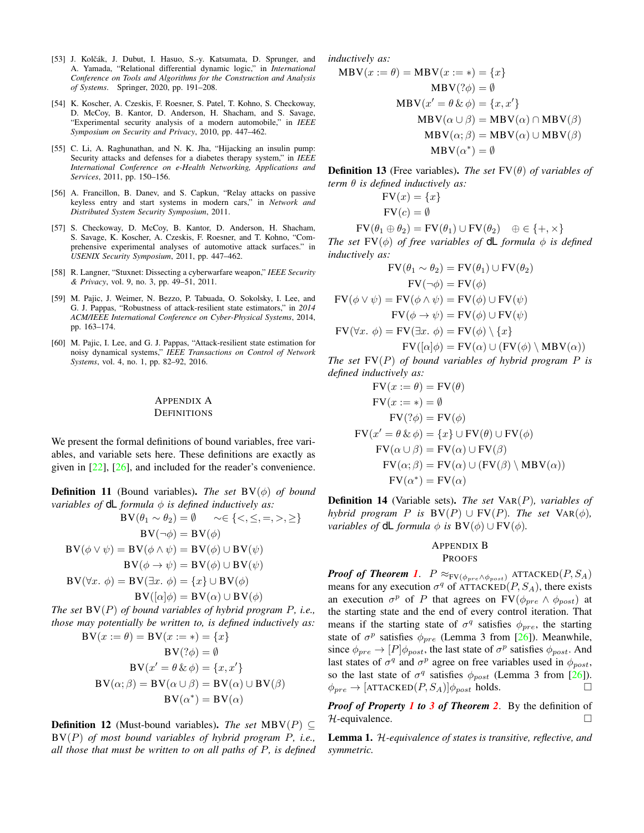- <span id="page-14-2"></span>[53] J. Kolčák, J. Dubut, I. Hasuo, S.-y. Katsumata, D. Sprunger, and A. Yamada, "Relational differential dynamic logic," in *International Conference on Tools and Algorithms for the Construction and Analysis of Systems*. Springer, 2020, pp. 191–208.
- <span id="page-14-3"></span>[54] K. Koscher, A. Czeskis, F. Roesner, S. Patel, T. Kohno, S. Checkoway, D. McCoy, B. Kantor, D. Anderson, H. Shacham, and S. Savage, "Experimental security analysis of a modern automobile," in *IEEE Symposium on Security and Privacy*, 2010, pp. 447–462.
- <span id="page-14-4"></span>[55] C. Li, A. Raghunathan, and N. K. Jha, "Hijacking an insulin pump: Security attacks and defenses for a diabetes therapy system," in *IEEE International Conference on e-Health Networking, Applications and Services*, 2011, pp. 150–156.
- <span id="page-14-5"></span>[56] A. Francillon, B. Danev, and S. Capkun, "Relay attacks on passive keyless entry and start systems in modern cars," in *Network and Distributed System Security Symposium*, 2011.
- <span id="page-14-6"></span>[57] S. Checkoway, D. McCoy, B. Kantor, D. Anderson, H. Shacham, S. Savage, K. Koscher, A. Czeskis, F. Roesner, and T. Kohno, "Comprehensive experimental analyses of automotive attack surfaces." in *USENIX Security Symposium*, 2011, pp. 447–462.
- <span id="page-14-7"></span>[58] R. Langner, "Stuxnet: Dissecting a cyberwarfare weapon," *IEEE Security & Privacy*, vol. 9, no. 3, pp. 49–51, 2011.
- <span id="page-14-8"></span>[59] M. Pajic, J. Weimer, N. Bezzo, P. Tabuada, O. Sokolsky, I. Lee, and G. J. Pappas, "Robustness of attack-resilient state estimators," in *2014 ACM/IEEE International Conference on Cyber-Physical Systems*, 2014, pp. 163–174.
- <span id="page-14-9"></span>[60] M. Pajic, I. Lee, and G. J. Pappas, "Attack-resilient state estimation for noisy dynamical systems," *IEEE Transactions on Control of Network Systems*, vol. 4, no. 1, pp. 82–92, 2016.

## <span id="page-14-0"></span>APPENDIX A **DEFINITIONS**

We present the formal definitions of bound variables, free variables, and variable sets here. These definitions are exactly as given in [\[22\]](#page-13-15), [\[26\]](#page-13-19), and included for the reader's convenience.

**Definition 11** (Bound variables). *The set*  $BV(\phi)$  *of bound variables of*  $dL$  *formula*  $\phi$  *is defined inductively as:* 

$$
BV(\theta_1 \sim \theta_2) = \emptyset \qquad \sim \in \{<,\leq,=,>,\geq\}
$$

$$
BV(\neg \phi) = BV(\phi)
$$

$$
BV(\phi \lor \psi) = BV(\phi \land \psi) = BV(\phi) \cup BV(\psi)
$$

$$
BV(\phi \to \psi) = BV(\phi) \cup BV(\psi)
$$

$$
BV(\forall x. \phi) = BV(\exists x. \phi) = \{x\} \cup BV(\phi)
$$

$$
BV([\alpha]\phi) = BV(\alpha) \cup BV(\phi)
$$

*The set* BV(P) *of bound variables of hybrid program* P*, i.e., those may potentially be written to, is defined inductively as:*  $BV(x := \theta) = BV(x := *) = \{x\}$ 

$$
\mathbf{BV}(x \cdot y) = \mathbf{BV}(x \cdot y) - \mathbf{Av}(x \cdot y)
$$

$$
\mathbf{BV}(2\phi) = \emptyset
$$

$$
\mathbf{BV}(x' = \theta \& \phi) = \{x, x'\}
$$

$$
\mathbf{BV}(\alpha; \beta) = \mathbf{BV}(\alpha \cup \beta) = \mathbf{BV}(\alpha) \cup \mathbf{BV}(\beta)
$$

$$
\mathbf{BV}(\alpha^*) = \mathbf{BV}(\alpha)
$$

**Definition 12** (Must-bound variables). *The set* MBV( $P$ ) ⊂ BV(P) *of most bound variables of hybrid program* P*, i.e., all those that must be written to on all paths of* P*, is defined* *inductively as:*

$$
MBV(x := \theta) = MBV(x := *) = \{x\}
$$
  
\n
$$
MBV(?\phi) = \emptyset
$$
  
\n
$$
MBV(x' = \theta \& \phi) = \{x, x'\}
$$
  
\n
$$
MBV(\alpha \cup \beta) = MBV(\alpha) \cap MBV(\beta)
$$
  
\n
$$
MBV(\alpha; \beta) = MBV(\alpha) \cup MBV(\beta)
$$
  
\n
$$
MBV(\alpha^*) = \emptyset
$$

**Definition 13** (Free variables). *The set*  $FV(\theta)$  *of variables of term* θ *is defined inductively as:*

$$
FV(x) = \{x\}
$$

$$
FV(c) = \emptyset
$$

 $FV(\theta_1 \oplus \theta_2) = FV(\theta_1) \cup FV(\theta_2) \quad \oplus \in \{+, \times\}$ *The set*  $FV(\phi)$  *of free variables of* **dL** *formula*  $\phi$  *is defined inductively as:*

$$
FV(\theta_1 \sim \theta_2) = FV(\theta_1) \cup FV(\theta_2)
$$

$$
FV(\neg \phi) = FV(\phi)
$$

$$
FV(\phi \lor \psi) = FV(\phi \land \psi) = FV(\phi) \cup FV(\psi)
$$

$$
FV(\phi \to \psi) = FV(\phi) \cup FV(\psi)
$$

$$
FV(\forall x. \phi) = FV(\exists x. \phi) = FV(\phi) \setminus \{x\}
$$

$$
FV([\alpha]\phi) = FV(\alpha) \cup (FV(\phi) \setminus MBV(\alpha))
$$

*The set* FV(P) *of bound variables of hybrid program* P *is defined inductively as:*

$$
FV(x := \theta) = FV(\theta)
$$
  
\n
$$
FV(x := *) = \emptyset
$$
  
\n
$$
FV(?\phi) = FV(\phi)
$$
  
\n
$$
FV(x' = \theta \& \phi) = \{x\} \cup FV(\theta) \cup FV(\phi)
$$
  
\n
$$
FV(\alpha \cup \beta) = FV(\alpha) \cup FV(\beta)
$$
  
\n
$$
FV(\alpha; \beta) = FV(\alpha) \cup (FV(\beta) \setminus MBV(\alpha))
$$
  
\n
$$
FV(\alpha^*) = FV(\alpha)
$$

Definition 14 (Variable sets). *The set* VAR(P)*, variables of hybrid program P is*  $BV(P) \cup FV(P)$ *. The set*  $VaR(\phi)$ *, variables of* **dL** *formula*  $\phi$  *is*  $BV(\phi) \cup FV(\phi)$ *.* 

## <span id="page-14-1"></span>APPENDIX B

## PROOFS

*Proof of Theorem [1](#page-5-2).*  $P \approx_{\text{FV}(\phi_{pre} \land \phi_{post})} \text{ATTACKED}(P, S_A)$ means for any execution  $\sigma^q$  of ATTACKED(P,  $S_A$ ), there exists an execution  $\sigma^p$  of P that agrees on FV $(\phi_{pre} \land \phi_{post})$  at the starting state and the end of every control iteration. That means if the starting state of  $\sigma^q$  satisfies  $\phi_{pre}$ , the starting state of  $\sigma^p$  satisfies  $\phi_{pre}$  (Lemma 3 from [\[26\]](#page-13-19)). Meanwhile, since  $\phi_{pre} \rightarrow [P] \phi_{post}$ , the last state of  $\sigma^p$  satisfies  $\phi_{post}$ . And last states of  $\sigma^q$  and  $\sigma^p$  agree on free variables used in  $\phi_{post}$ , so the last state of  $\sigma^q$  satisfies  $\phi_{post}$  (Lemma 3 from [\[26\]](#page-13-19)).  $\phi_{pre} \rightarrow [\text{ATTACKED}(P, S_A)] \phi_{post}$  holds.

*Proof of Property [1](#page-6-4) to [3](#page-6-2) of Theorem [2](#page-6-6)*. By the definition of  $H$ -equivalence.  $\Box$ 

<span id="page-14-10"></span>Lemma 1. H*-equivalence of states is transitive, reflective, and symmetric.*